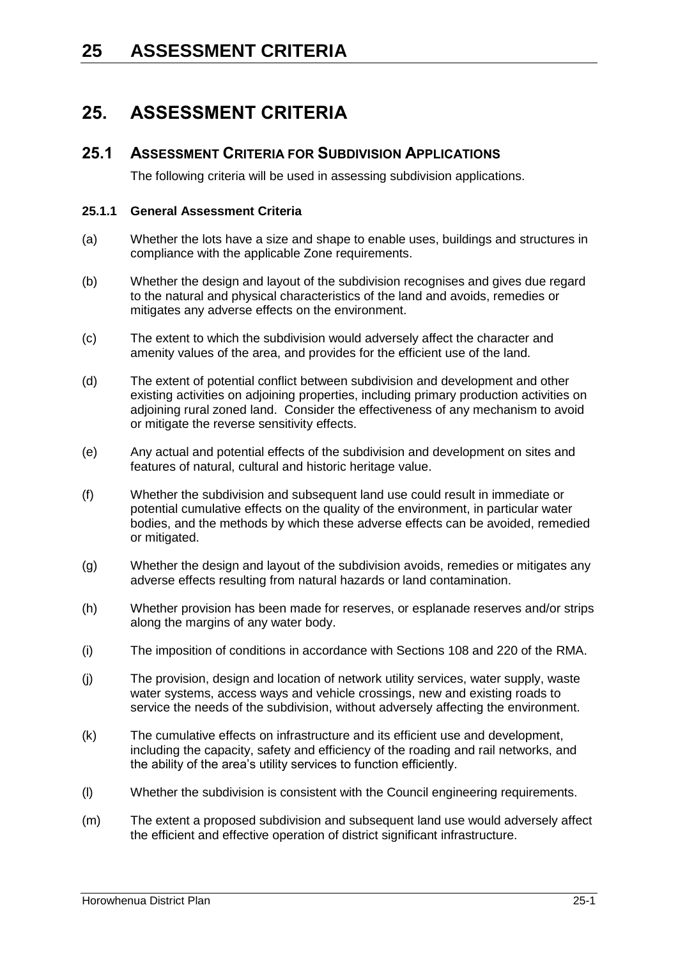### **25.1 ASSESSMENT CRITERIA FOR SUBDIVISION APPLICATIONS**

The following criteria will be used in assessing subdivision applications.

### **25.1.1 General Assessment Criteria**

- (a) Whether the lots have a size and shape to enable uses, buildings and structures in compliance with the applicable Zone requirements.
- (b) Whether the design and layout of the subdivision recognises and gives due regard to the natural and physical characteristics of the land and avoids, remedies or mitigates any adverse effects on the environment.
- (c) The extent to which the subdivision would adversely affect the character and amenity values of the area, and provides for the efficient use of the land.
- (d) The extent of potential conflict between subdivision and development and other existing activities on adjoining properties, including primary production activities on adjoining rural zoned land. Consider the effectiveness of any mechanism to avoid or mitigate the reverse sensitivity effects.
- (e) Any actual and potential effects of the subdivision and development on sites and features of natural, cultural and historic heritage value.
- (f) Whether the subdivision and subsequent land use could result in immediate or potential cumulative effects on the quality of the environment, in particular water bodies, and the methods by which these adverse effects can be avoided, remedied or mitigated.
- (g) Whether the design and layout of the subdivision avoids, remedies or mitigates any adverse effects resulting from natural hazards or land contamination.
- (h) Whether provision has been made for reserves, or esplanade reserves and/or strips along the margins of any water body.
- (i) The imposition of conditions in accordance with Sections 108 and 220 of the RMA.
- (j) The provision, design and location of network utility services, water supply, waste water systems, access ways and vehicle crossings, new and existing roads to service the needs of the subdivision, without adversely affecting the environment.
- (k) The cumulative effects on infrastructure and its efficient use and development, including the capacity, safety and efficiency of the roading and rail networks, and the ability of the area's utility services to function efficiently.
- (l) Whether the subdivision is consistent with the Council engineering requirements.
- (m) The extent a proposed subdivision and subsequent land use would adversely affect the efficient and effective operation of district significant infrastructure.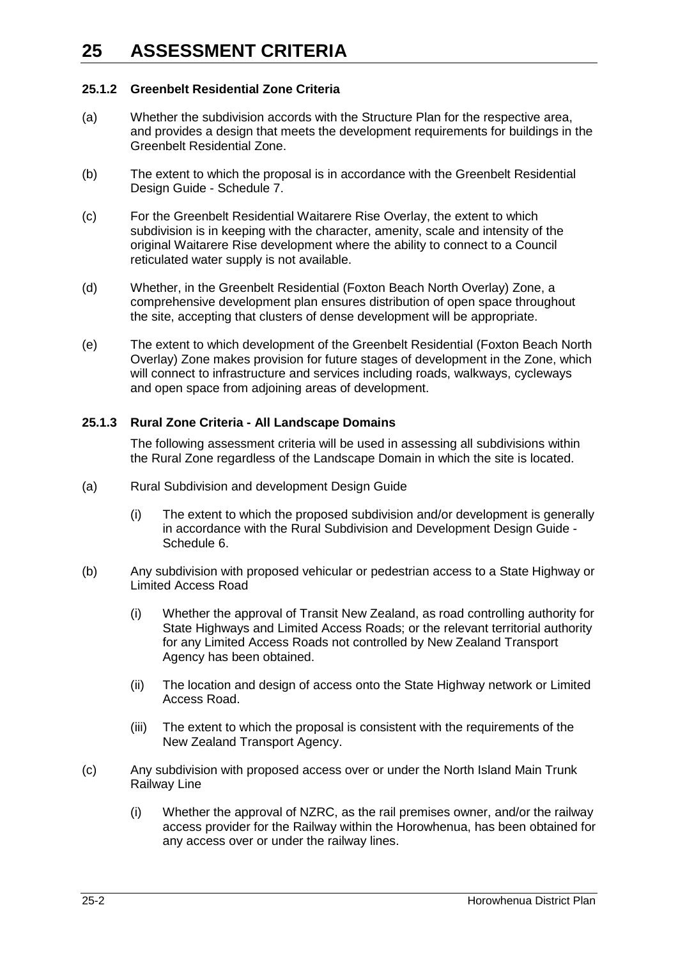### **25.1.2 Greenbelt Residential Zone Criteria**

- (a) Whether the subdivision accords with the Structure Plan for the respective area, and provides a design that meets the development requirements for buildings in the Greenbelt Residential Zone.
- (b) The extent to which the proposal is in accordance with the Greenbelt Residential Design Guide - Schedule 7.
- (c) For the Greenbelt Residential Waitarere Rise Overlay, the extent to which subdivision is in keeping with the character, amenity, scale and intensity of the original Waitarere Rise development where the ability to connect to a Council reticulated water supply is not available.
- (d) Whether, in the Greenbelt Residential (Foxton Beach North Overlay) Zone, a comprehensive development plan ensures distribution of open space throughout the site, accepting that clusters of dense development will be appropriate.
- (e) The extent to which development of the Greenbelt Residential (Foxton Beach North Overlay) Zone makes provision for future stages of development in the Zone, which will connect to infrastructure and services including roads, walkways, cycleways and open space from adjoining areas of development.

### **25.1.3 Rural Zone Criteria - All Landscape Domains**

The following assessment criteria will be used in assessing all subdivisions within the Rural Zone regardless of the Landscape Domain in which the site is located.

- (a) Rural Subdivision and development Design Guide
	- (i) The extent to which the proposed subdivision and/or development is generally in accordance with the Rural Subdivision and Development Design Guide - Schedule 6.
- (b) Any subdivision with proposed vehicular or pedestrian access to a State Highway or Limited Access Road
	- (i) Whether the approval of Transit New Zealand, as road controlling authority for State Highways and Limited Access Roads; or the relevant territorial authority for any Limited Access Roads not controlled by New Zealand Transport Agency has been obtained.
	- (ii) The location and design of access onto the State Highway network or Limited Access Road.
	- (iii) The extent to which the proposal is consistent with the requirements of the New Zealand Transport Agency.
- (c) Any subdivision with proposed access over or under the North Island Main Trunk Railway Line
	- (i) Whether the approval of NZRC, as the rail premises owner, and/or the railway access provider for the Railway within the Horowhenua, has been obtained for any access over or under the railway lines.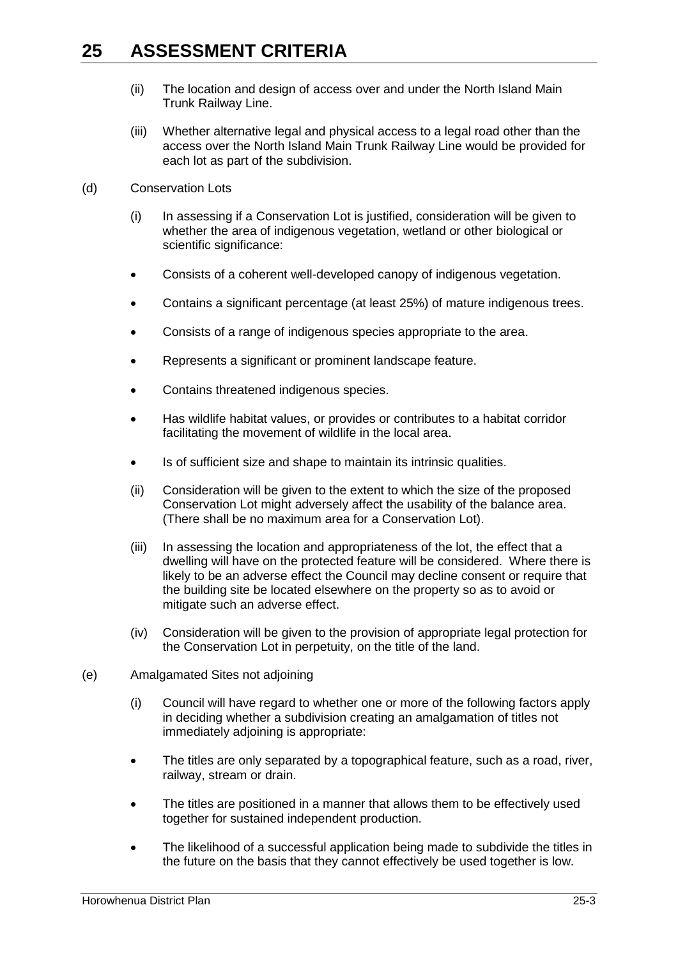- (ii) The location and design of access over and under the North Island Main Trunk Railway Line.
- (iii) Whether alternative legal and physical access to a legal road other than the access over the North Island Main Trunk Railway Line would be provided for each lot as part of the subdivision.
- (d) Conservation Lots
	- (i) In assessing if a Conservation Lot is justified, consideration will be given to whether the area of indigenous vegetation, wetland or other biological or scientific significance:
	- Consists of a coherent well-developed canopy of indigenous vegetation.
	- Contains a significant percentage (at least 25%) of mature indigenous trees.
	- Consists of a range of indigenous species appropriate to the area.
	- Represents a significant or prominent landscape feature.
	- Contains threatened indigenous species.
	- Has wildlife habitat values, or provides or contributes to a habitat corridor facilitating the movement of wildlife in the local area.
	- Is of sufficient size and shape to maintain its intrinsic qualities.
	- (ii) Consideration will be given to the extent to which the size of the proposed Conservation Lot might adversely affect the usability of the balance area. (There shall be no maximum area for a Conservation Lot).
	- (iii) In assessing the location and appropriateness of the lot, the effect that a dwelling will have on the protected feature will be considered. Where there is likely to be an adverse effect the Council may decline consent or require that the building site be located elsewhere on the property so as to avoid or mitigate such an adverse effect.
	- (iv) Consideration will be given to the provision of appropriate legal protection for the Conservation Lot in perpetuity, on the title of the land.
- (e) Amalgamated Sites not adjoining
	- (i) Council will have regard to whether one or more of the following factors apply in deciding whether a subdivision creating an amalgamation of titles not immediately adjoining is appropriate:
	- The titles are only separated by a topographical feature, such as a road, river, railway, stream or drain.
	- The titles are positioned in a manner that allows them to be effectively used together for sustained independent production.
	- The likelihood of a successful application being made to subdivide the titles in the future on the basis that they cannot effectively be used together is low.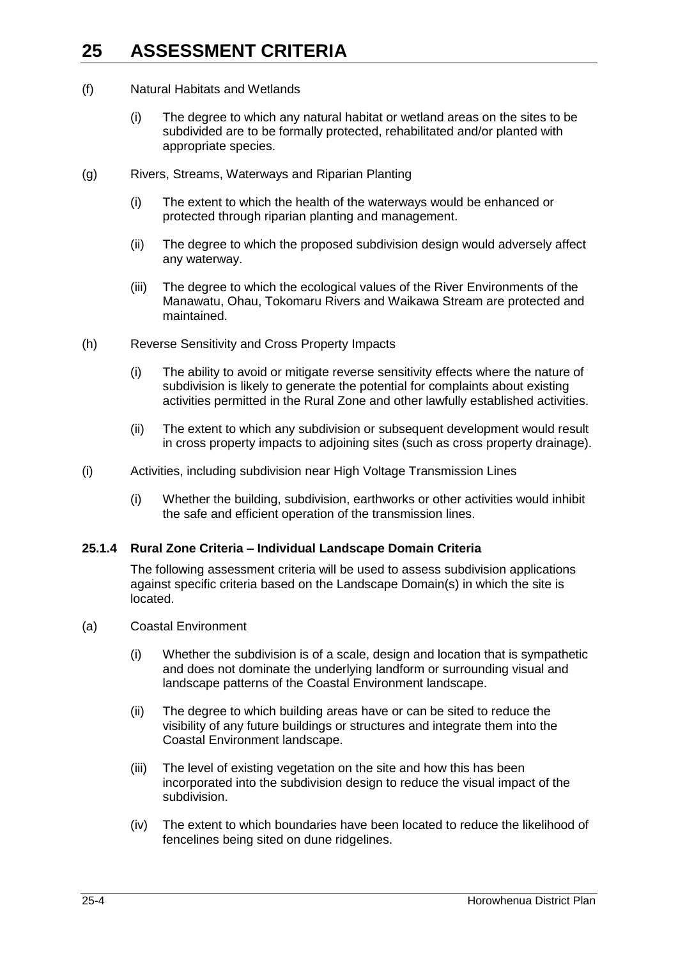- (f) Natural Habitats and Wetlands
	- (i) The degree to which any natural habitat or wetland areas on the sites to be subdivided are to be formally protected, rehabilitated and/or planted with appropriate species.
- (g) Rivers, Streams, Waterways and Riparian Planting
	- (i) The extent to which the health of the waterways would be enhanced or protected through riparian planting and management.
	- (ii) The degree to which the proposed subdivision design would adversely affect any waterway.
	- (iii) The degree to which the ecological values of the River Environments of the Manawatu, Ohau, Tokomaru Rivers and Waikawa Stream are protected and maintained.
- (h) Reverse Sensitivity and Cross Property Impacts
	- (i) The ability to avoid or mitigate reverse sensitivity effects where the nature of subdivision is likely to generate the potential for complaints about existing activities permitted in the Rural Zone and other lawfully established activities.
	- (ii) The extent to which any subdivision or subsequent development would result in cross property impacts to adjoining sites (such as cross property drainage).
- (i) Activities, including subdivision near High Voltage Transmission Lines
	- (i) Whether the building, subdivision, earthworks or other activities would inhibit the safe and efficient operation of the transmission lines.

#### **25.1.4 Rural Zone Criteria – Individual Landscape Domain Criteria**

The following assessment criteria will be used to assess subdivision applications against specific criteria based on the Landscape Domain(s) in which the site is located.

- (a) Coastal Environment
	- (i) Whether the subdivision is of a scale, design and location that is sympathetic and does not dominate the underlying landform or surrounding visual and landscape patterns of the Coastal Environment landscape.
	- (ii) The degree to which building areas have or can be sited to reduce the visibility of any future buildings or structures and integrate them into the Coastal Environment landscape.
	- (iii) The level of existing vegetation on the site and how this has been incorporated into the subdivision design to reduce the visual impact of the subdivision.
	- (iv) The extent to which boundaries have been located to reduce the likelihood of fencelines being sited on dune ridgelines.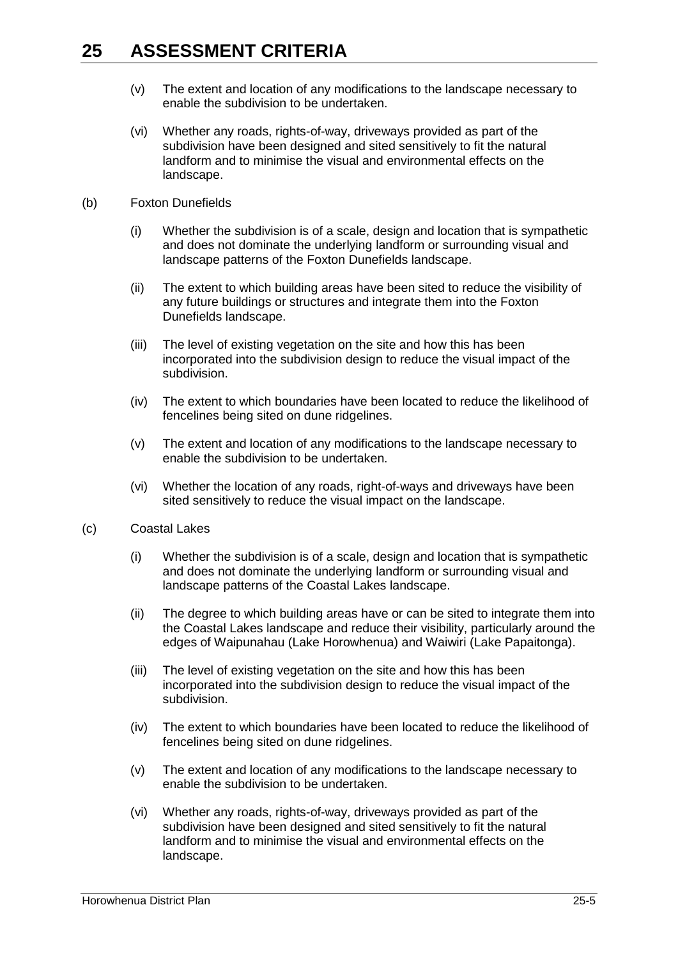- (v) The extent and location of any modifications to the landscape necessary to enable the subdivision to be undertaken.
- (vi) Whether any roads, rights-of-way, driveways provided as part of the subdivision have been designed and sited sensitively to fit the natural landform and to minimise the visual and environmental effects on the landscape.
- (b) Foxton Dunefields
	- (i) Whether the subdivision is of a scale, design and location that is sympathetic and does not dominate the underlying landform or surrounding visual and landscape patterns of the Foxton Dunefields landscape.
	- (ii) The extent to which building areas have been sited to reduce the visibility of any future buildings or structures and integrate them into the Foxton Dunefields landscape.
	- (iii) The level of existing vegetation on the site and how this has been incorporated into the subdivision design to reduce the visual impact of the subdivision.
	- (iv) The extent to which boundaries have been located to reduce the likelihood of fencelines being sited on dune ridgelines.
	- (v) The extent and location of any modifications to the landscape necessary to enable the subdivision to be undertaken.
	- (vi) Whether the location of any roads, right-of-ways and driveways have been sited sensitively to reduce the visual impact on the landscape.
- (c) Coastal Lakes
	- (i) Whether the subdivision is of a scale, design and location that is sympathetic and does not dominate the underlying landform or surrounding visual and landscape patterns of the Coastal Lakes landscape.
	- (ii) The degree to which building areas have or can be sited to integrate them into the Coastal Lakes landscape and reduce their visibility, particularly around the edges of Waipunahau (Lake Horowhenua) and Waiwiri (Lake Papaitonga).
	- (iii) The level of existing vegetation on the site and how this has been incorporated into the subdivision design to reduce the visual impact of the subdivision.
	- (iv) The extent to which boundaries have been located to reduce the likelihood of fencelines being sited on dune ridgelines.
	- (v) The extent and location of any modifications to the landscape necessary to enable the subdivision to be undertaken.
	- (vi) Whether any roads, rights-of-way, driveways provided as part of the subdivision have been designed and sited sensitively to fit the natural landform and to minimise the visual and environmental effects on the landscape.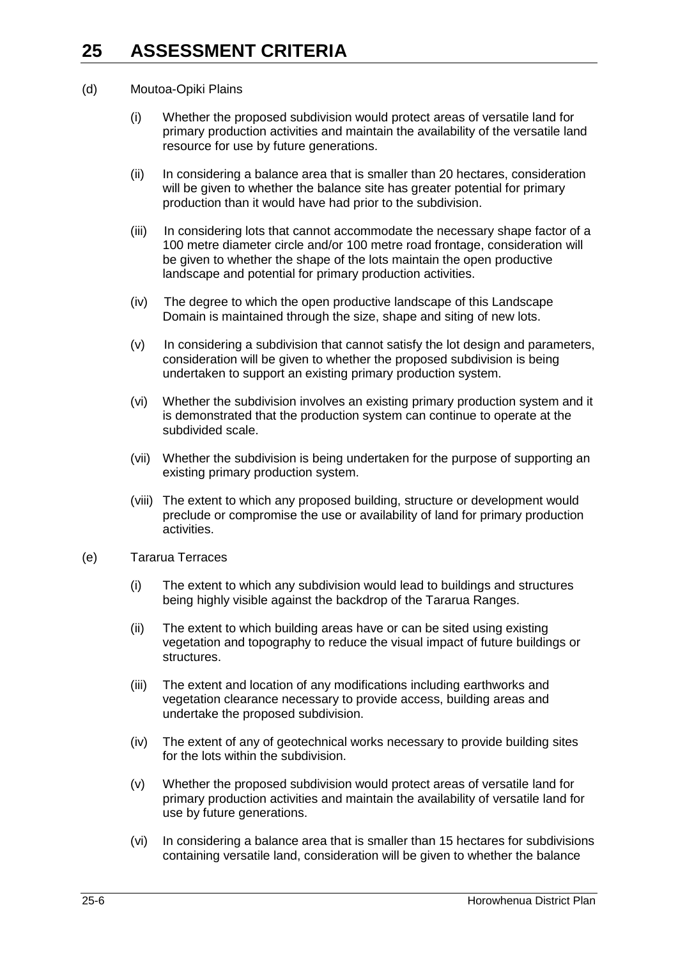#### (d) Moutoa-Opiki Plains

- (i) Whether the proposed subdivision would protect areas of versatile land for primary production activities and maintain the availability of the versatile land resource for use by future generations.
- (ii) In considering a balance area that is smaller than 20 hectares, consideration will be given to whether the balance site has greater potential for primary production than it would have had prior to the subdivision.
- (iii) In considering lots that cannot accommodate the necessary shape factor of a 100 metre diameter circle and/or 100 metre road frontage, consideration will be given to whether the shape of the lots maintain the open productive landscape and potential for primary production activities.
- (iv) The degree to which the open productive landscape of this Landscape Domain is maintained through the size, shape and siting of new lots.
- (v) In considering a subdivision that cannot satisfy the lot design and parameters, consideration will be given to whether the proposed subdivision is being undertaken to support an existing primary production system.
- (vi) Whether the subdivision involves an existing primary production system and it is demonstrated that the production system can continue to operate at the subdivided scale.
- (vii) Whether the subdivision is being undertaken for the purpose of supporting an existing primary production system.
- (viii) The extent to which any proposed building, structure or development would preclude or compromise the use or availability of land for primary production activities.
- (e) Tararua Terraces
	- (i) The extent to which any subdivision would lead to buildings and structures being highly visible against the backdrop of the Tararua Ranges.
	- (ii) The extent to which building areas have or can be sited using existing vegetation and topography to reduce the visual impact of future buildings or structures.
	- (iii) The extent and location of any modifications including earthworks and vegetation clearance necessary to provide access, building areas and undertake the proposed subdivision.
	- (iv) The extent of any of geotechnical works necessary to provide building sites for the lots within the subdivision.
	- (v) Whether the proposed subdivision would protect areas of versatile land for primary production activities and maintain the availability of versatile land for use by future generations.
	- (vi) In considering a balance area that is smaller than 15 hectares for subdivisions containing versatile land, consideration will be given to whether the balance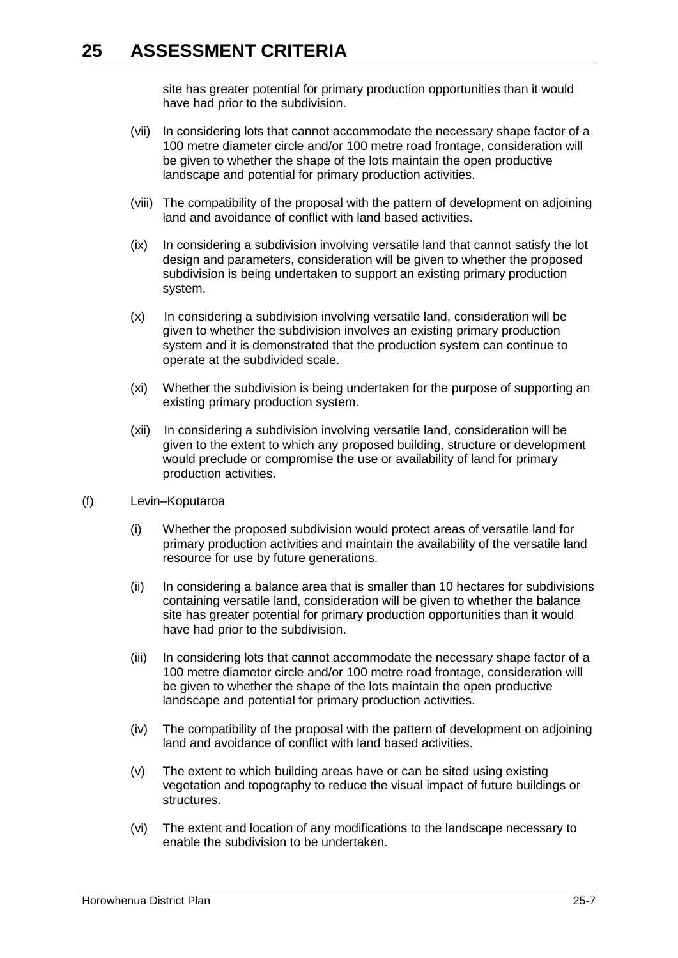site has greater potential for primary production opportunities than it would have had prior to the subdivision.

- (vii) In considering lots that cannot accommodate the necessary shape factor of a 100 metre diameter circle and/or 100 metre road frontage, consideration will be given to whether the shape of the lots maintain the open productive landscape and potential for primary production activities.
- (viii) The compatibility of the proposal with the pattern of development on adjoining land and avoidance of conflict with land based activities.
- (ix) In considering a subdivision involving versatile land that cannot satisfy the lot design and parameters, consideration will be given to whether the proposed subdivision is being undertaken to support an existing primary production system.
- (x) In considering a subdivision involving versatile land, consideration will be given to whether the subdivision involves an existing primary production system and it is demonstrated that the production system can continue to operate at the subdivided scale.
- (xi) Whether the subdivision is being undertaken for the purpose of supporting an existing primary production system.
- (xii) In considering a subdivision involving versatile land, consideration will be given to the extent to which any proposed building, structure or development would preclude or compromise the use or availability of land for primary production activities.
- (f) Levin–Koputaroa
	- (i) Whether the proposed subdivision would protect areas of versatile land for primary production activities and maintain the availability of the versatile land resource for use by future generations.
	- (ii) In considering a balance area that is smaller than 10 hectares for subdivisions containing versatile land, consideration will be given to whether the balance site has greater potential for primary production opportunities than it would have had prior to the subdivision.
	- (iii) In considering lots that cannot accommodate the necessary shape factor of a 100 metre diameter circle and/or 100 metre road frontage, consideration will be given to whether the shape of the lots maintain the open productive landscape and potential for primary production activities.
	- (iv) The compatibility of the proposal with the pattern of development on adjoining land and avoidance of conflict with land based activities.
	- (v) The extent to which building areas have or can be sited using existing vegetation and topography to reduce the visual impact of future buildings or structures.
	- (vi) The extent and location of any modifications to the landscape necessary to enable the subdivision to be undertaken.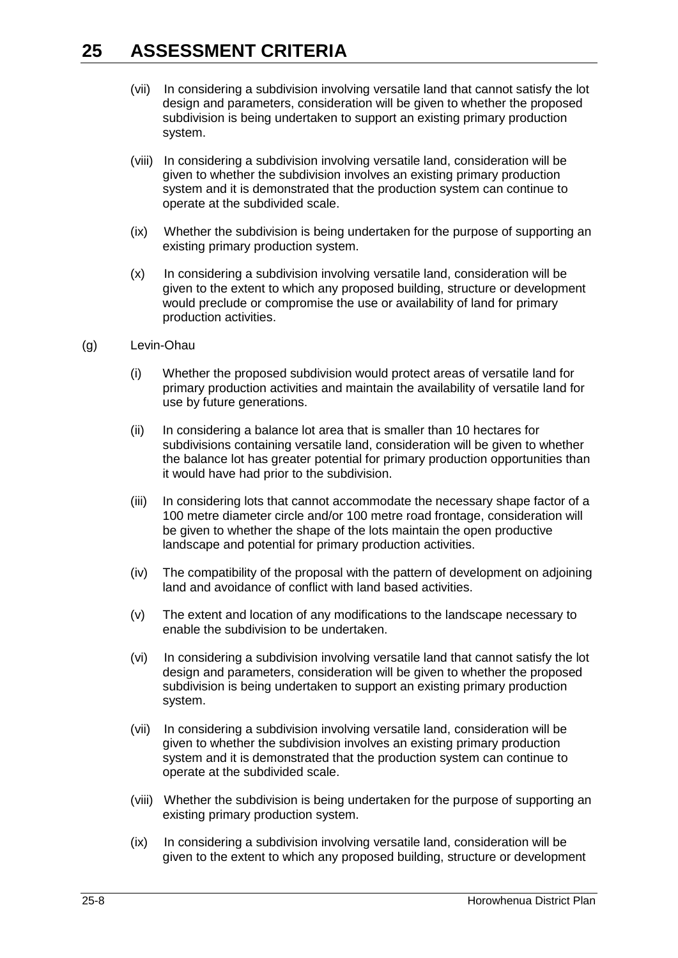- (vii) In considering a subdivision involving versatile land that cannot satisfy the lot design and parameters, consideration will be given to whether the proposed subdivision is being undertaken to support an existing primary production system.
- (viii) In considering a subdivision involving versatile land, consideration will be given to whether the subdivision involves an existing primary production system and it is demonstrated that the production system can continue to operate at the subdivided scale.
- (ix) Whether the subdivision is being undertaken for the purpose of supporting an existing primary production system.
- (x) In considering a subdivision involving versatile land, consideration will be given to the extent to which any proposed building, structure or development would preclude or compromise the use or availability of land for primary production activities.
- (g) Levin-Ohau
	- (i) Whether the proposed subdivision would protect areas of versatile land for primary production activities and maintain the availability of versatile land for use by future generations.
	- (ii) In considering a balance lot area that is smaller than 10 hectares for subdivisions containing versatile land, consideration will be given to whether the balance lot has greater potential for primary production opportunities than it would have had prior to the subdivision.
	- (iii) In considering lots that cannot accommodate the necessary shape factor of a 100 metre diameter circle and/or 100 metre road frontage, consideration will be given to whether the shape of the lots maintain the open productive landscape and potential for primary production activities.
	- (iv) The compatibility of the proposal with the pattern of development on adjoining land and avoidance of conflict with land based activities.
	- (v) The extent and location of any modifications to the landscape necessary to enable the subdivision to be undertaken.
	- (vi) In considering a subdivision involving versatile land that cannot satisfy the lot design and parameters, consideration will be given to whether the proposed subdivision is being undertaken to support an existing primary production system.
	- (vii) In considering a subdivision involving versatile land, consideration will be given to whether the subdivision involves an existing primary production system and it is demonstrated that the production system can continue to operate at the subdivided scale.
	- (viii) Whether the subdivision is being undertaken for the purpose of supporting an existing primary production system.
	- (ix) In considering a subdivision involving versatile land, consideration will be given to the extent to which any proposed building, structure or development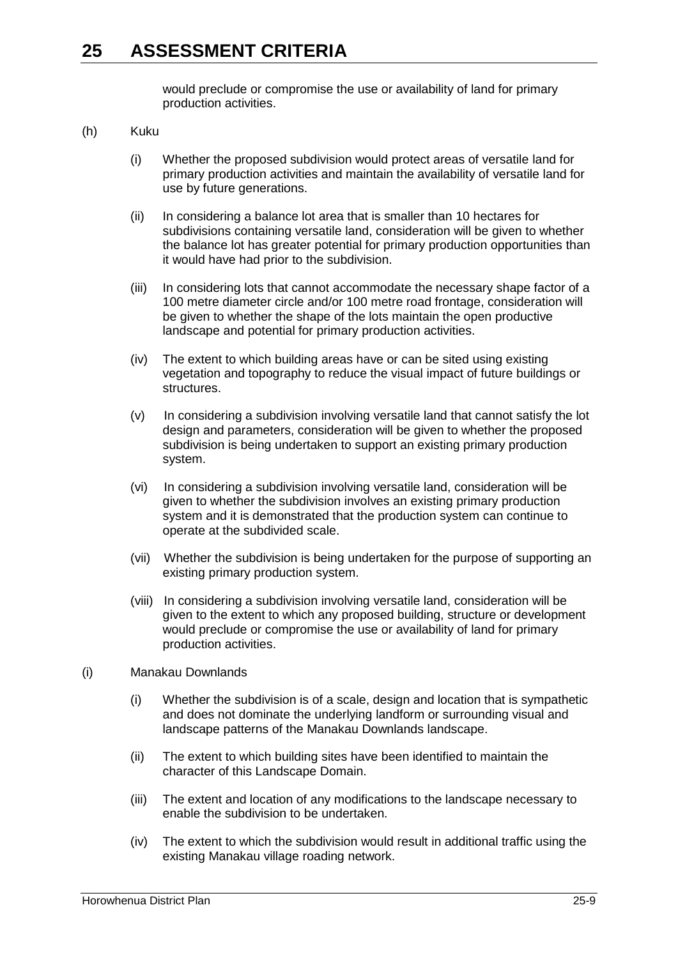would preclude or compromise the use or availability of land for primary production activities.

- (h) Kuku
	- (i) Whether the proposed subdivision would protect areas of versatile land for primary production activities and maintain the availability of versatile land for use by future generations.
	- (ii) In considering a balance lot area that is smaller than 10 hectares for subdivisions containing versatile land, consideration will be given to whether the balance lot has greater potential for primary production opportunities than it would have had prior to the subdivision.
	- (iii) In considering lots that cannot accommodate the necessary shape factor of a 100 metre diameter circle and/or 100 metre road frontage, consideration will be given to whether the shape of the lots maintain the open productive landscape and potential for primary production activities.
	- (iv) The extent to which building areas have or can be sited using existing vegetation and topography to reduce the visual impact of future buildings or structures.
	- (v) In considering a subdivision involving versatile land that cannot satisfy the lot design and parameters, consideration will be given to whether the proposed subdivision is being undertaken to support an existing primary production system.
	- (vi) In considering a subdivision involving versatile land, consideration will be given to whether the subdivision involves an existing primary production system and it is demonstrated that the production system can continue to operate at the subdivided scale.
	- (vii) Whether the subdivision is being undertaken for the purpose of supporting an existing primary production system.
	- (viii) In considering a subdivision involving versatile land, consideration will be given to the extent to which any proposed building, structure or development would preclude or compromise the use or availability of land for primary production activities.

#### (i) Manakau Downlands

- (i) Whether the subdivision is of a scale, design and location that is sympathetic and does not dominate the underlying landform or surrounding visual and landscape patterns of the Manakau Downlands landscape.
- (ii) The extent to which building sites have been identified to maintain the character of this Landscape Domain.
- (iii) The extent and location of any modifications to the landscape necessary to enable the subdivision to be undertaken.
- (iv) The extent to which the subdivision would result in additional traffic using the existing Manakau village roading network.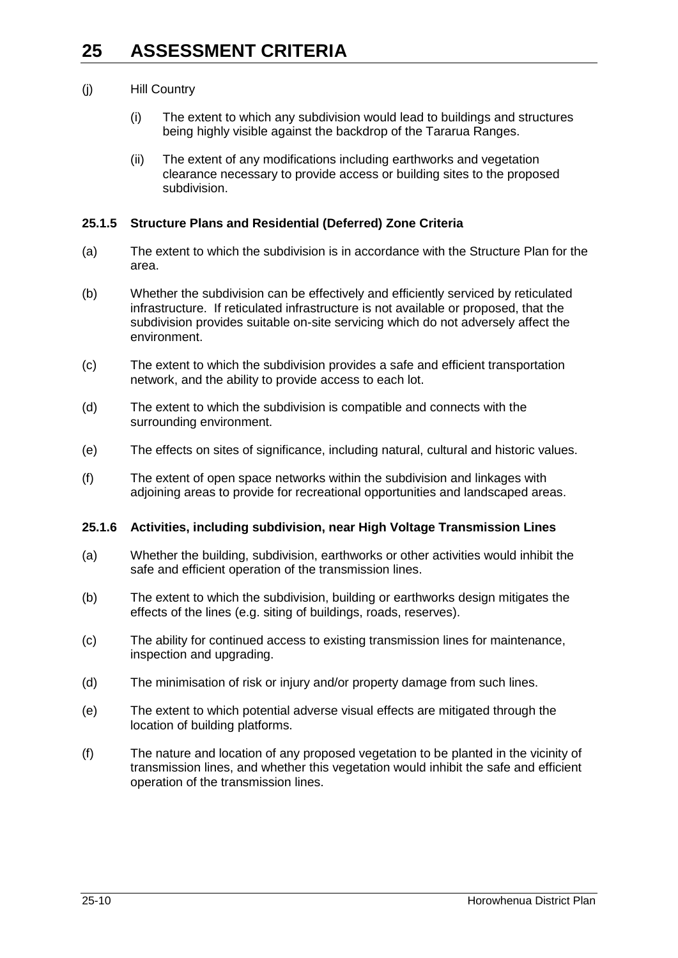- (j) Hill Country
	- (i) The extent to which any subdivision would lead to buildings and structures being highly visible against the backdrop of the Tararua Ranges.
	- (ii) The extent of any modifications including earthworks and vegetation clearance necessary to provide access or building sites to the proposed subdivision.

### **25.1.5 Structure Plans and Residential (Deferred) Zone Criteria**

- (a) The extent to which the subdivision is in accordance with the Structure Plan for the area.
- (b) Whether the subdivision can be effectively and efficiently serviced by reticulated infrastructure. If reticulated infrastructure is not available or proposed, that the subdivision provides suitable on-site servicing which do not adversely affect the environment.
- (c) The extent to which the subdivision provides a safe and efficient transportation network, and the ability to provide access to each lot.
- (d) The extent to which the subdivision is compatible and connects with the surrounding environment.
- (e) The effects on sites of significance, including natural, cultural and historic values.
- (f) The extent of open space networks within the subdivision and linkages with adjoining areas to provide for recreational opportunities and landscaped areas.

### **25.1.6 Activities, including subdivision, near High Voltage Transmission Lines**

- (a) Whether the building, subdivision, earthworks or other activities would inhibit the safe and efficient operation of the transmission lines.
- (b) The extent to which the subdivision, building or earthworks design mitigates the effects of the lines (e.g. siting of buildings, roads, reserves).
- (c) The ability for continued access to existing transmission lines for maintenance, inspection and upgrading.
- (d) The minimisation of risk or injury and/or property damage from such lines.
- (e) The extent to which potential adverse visual effects are mitigated through the location of building platforms.
- (f) The nature and location of any proposed vegetation to be planted in the vicinity of transmission lines, and whether this vegetation would inhibit the safe and efficient operation of the transmission lines.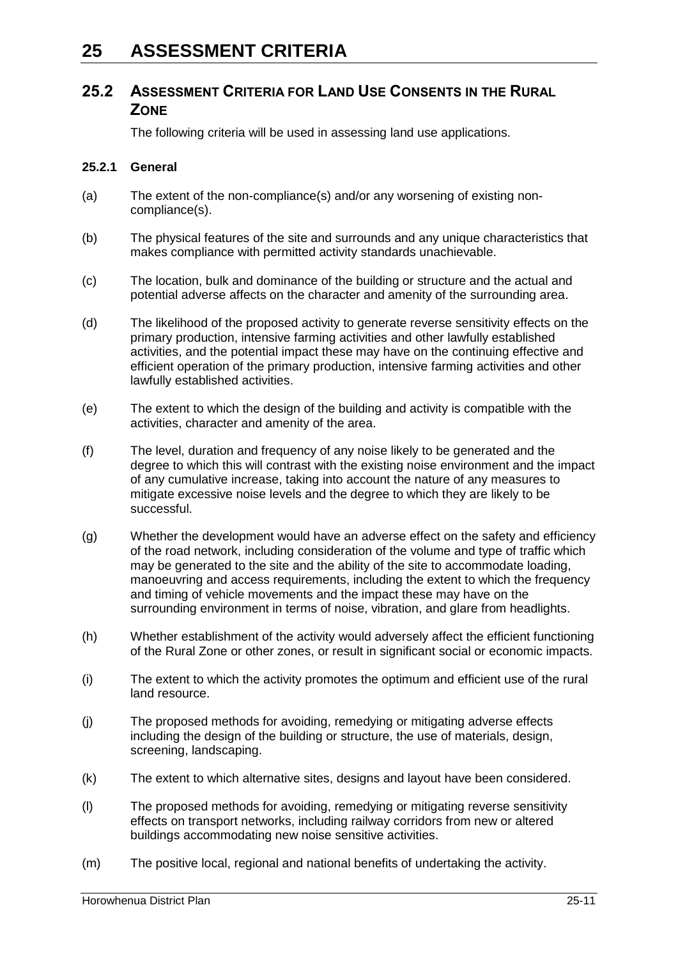### **25.2 ASSESSMENT CRITERIA FOR LAND USE CONSENTS IN THE RURAL ZONE**

The following criteria will be used in assessing land use applications.

### **25.2.1 General**

- (a) The extent of the non-compliance(s) and/or any worsening of existing noncompliance(s).
- (b) The physical features of the site and surrounds and any unique characteristics that makes compliance with permitted activity standards unachievable.
- (c) The location, bulk and dominance of the building or structure and the actual and potential adverse affects on the character and amenity of the surrounding area.
- (d) The likelihood of the proposed activity to generate reverse sensitivity effects on the primary production, intensive farming activities and other lawfully established activities, and the potential impact these may have on the continuing effective and efficient operation of the primary production, intensive farming activities and other lawfully established activities.
- (e) The extent to which the design of the building and activity is compatible with the activities, character and amenity of the area.
- (f) The level, duration and frequency of any noise likely to be generated and the degree to which this will contrast with the existing noise environment and the impact of any cumulative increase, taking into account the nature of any measures to mitigate excessive noise levels and the degree to which they are likely to be successful.
- (g) Whether the development would have an adverse effect on the safety and efficiency of the road network, including consideration of the volume and type of traffic which may be generated to the site and the ability of the site to accommodate loading, manoeuvring and access requirements, including the extent to which the frequency and timing of vehicle movements and the impact these may have on the surrounding environment in terms of noise, vibration, and glare from headlights.
- (h) Whether establishment of the activity would adversely affect the efficient functioning of the Rural Zone or other zones, or result in significant social or economic impacts.
- (i) The extent to which the activity promotes the optimum and efficient use of the rural land resource.
- (j) The proposed methods for avoiding, remedying or mitigating adverse effects including the design of the building or structure, the use of materials, design, screening, landscaping.
- (k) The extent to which alternative sites, designs and layout have been considered.
- (l) The proposed methods for avoiding, remedying or mitigating reverse sensitivity effects on transport networks, including railway corridors from new or altered buildings accommodating new noise sensitive activities.
- (m) The positive local, regional and national benefits of undertaking the activity.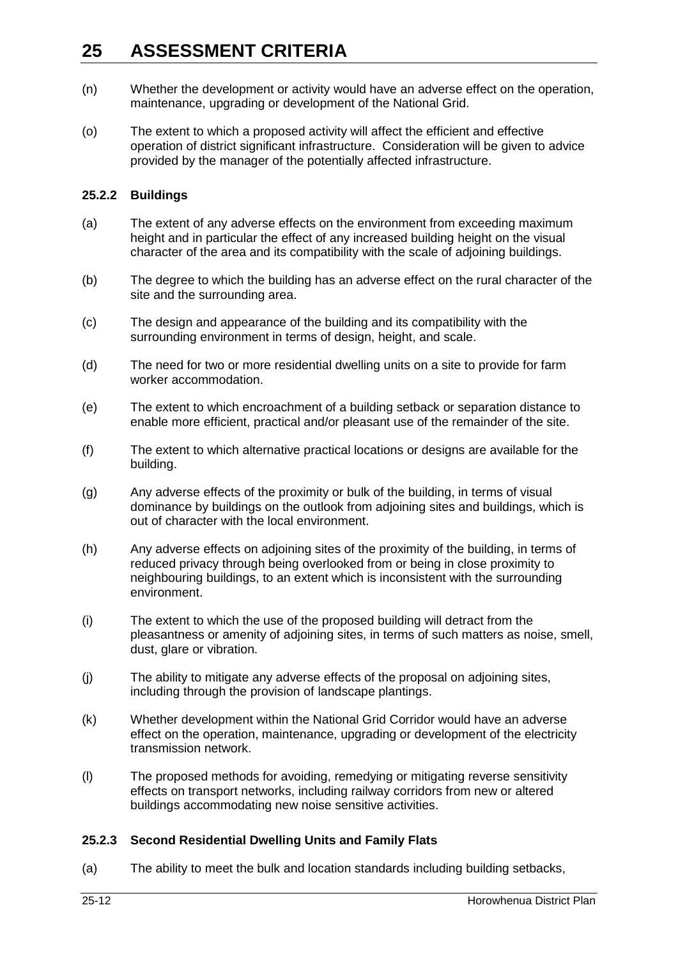- (n) Whether the development or activity would have an adverse effect on the operation, maintenance, upgrading or development of the National Grid.
- (o) The extent to which a proposed activity will affect the efficient and effective operation of district significant infrastructure. Consideration will be given to advice provided by the manager of the potentially affected infrastructure.

### **25.2.2 Buildings**

- (a) The extent of any adverse effects on the environment from exceeding maximum height and in particular the effect of any increased building height on the visual character of the area and its compatibility with the scale of adjoining buildings.
- (b) The degree to which the building has an adverse effect on the rural character of the site and the surrounding area.
- (c) The design and appearance of the building and its compatibility with the surrounding environment in terms of design, height, and scale.
- (d) The need for two or more residential dwelling units on a site to provide for farm worker accommodation.
- (e) The extent to which encroachment of a building setback or separation distance to enable more efficient, practical and/or pleasant use of the remainder of the site.
- (f) The extent to which alternative practical locations or designs are available for the building.
- (g) Any adverse effects of the proximity or bulk of the building, in terms of visual dominance by buildings on the outlook from adjoining sites and buildings, which is out of character with the local environment.
- (h) Any adverse effects on adjoining sites of the proximity of the building, in terms of reduced privacy through being overlooked from or being in close proximity to neighbouring buildings, to an extent which is inconsistent with the surrounding environment.
- (i) The extent to which the use of the proposed building will detract from the pleasantness or amenity of adjoining sites, in terms of such matters as noise, smell, dust, glare or vibration.
- (j) The ability to mitigate any adverse effects of the proposal on adjoining sites, including through the provision of landscape plantings.
- (k) Whether development within the National Grid Corridor would have an adverse effect on the operation, maintenance, upgrading or development of the electricity transmission network.
- (l) The proposed methods for avoiding, remedying or mitigating reverse sensitivity effects on transport networks, including railway corridors from new or altered buildings accommodating new noise sensitive activities.

### **25.2.3 Second Residential Dwelling Units and Family Flats**

(a) The ability to meet the bulk and location standards including building setbacks,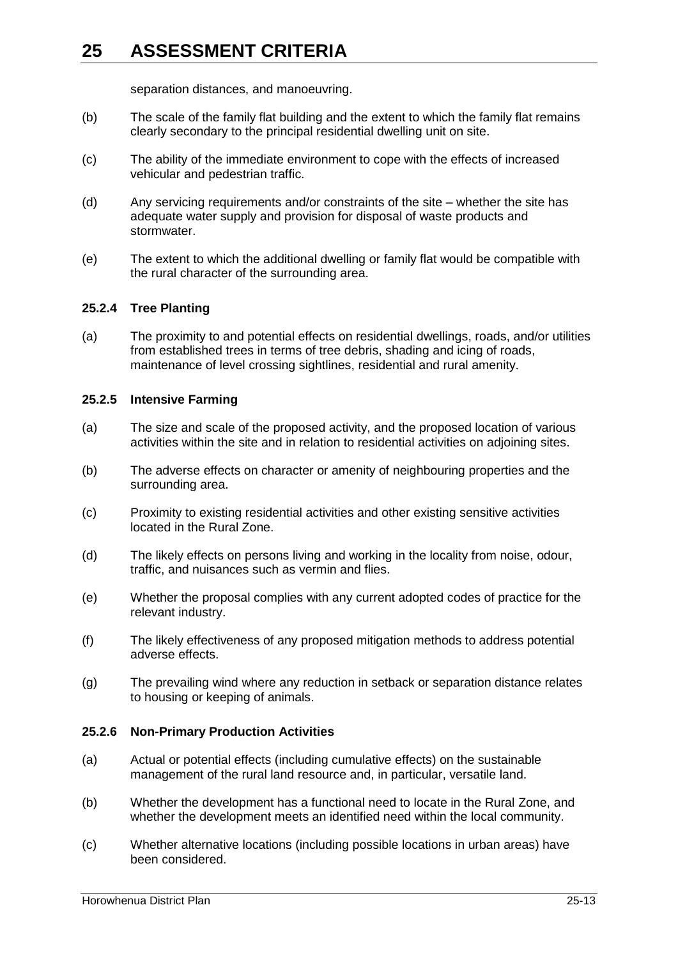separation distances, and manoeuvring.

- (b) The scale of the family flat building and the extent to which the family flat remains clearly secondary to the principal residential dwelling unit on site.
- (c) The ability of the immediate environment to cope with the effects of increased vehicular and pedestrian traffic.
- (d) Any servicing requirements and/or constraints of the site whether the site has adequate water supply and provision for disposal of waste products and stormwater.
- (e) The extent to which the additional dwelling or family flat would be compatible with the rural character of the surrounding area.

### **25.2.4 Tree Planting**

(a) The proximity to and potential effects on residential dwellings, roads, and/or utilities from established trees in terms of tree debris, shading and icing of roads, maintenance of level crossing sightlines, residential and rural amenity.

### **25.2.5 Intensive Farming**

- (a) The size and scale of the proposed activity, and the proposed location of various activities within the site and in relation to residential activities on adjoining sites.
- (b) The adverse effects on character or amenity of neighbouring properties and the surrounding area.
- (c) Proximity to existing residential activities and other existing sensitive activities located in the Rural Zone.
- (d) The likely effects on persons living and working in the locality from noise, odour, traffic, and nuisances such as vermin and flies.
- (e) Whether the proposal complies with any current adopted codes of practice for the relevant industry.
- (f) The likely effectiveness of any proposed mitigation methods to address potential adverse effects.
- (g) The prevailing wind where any reduction in setback or separation distance relates to housing or keeping of animals.

### **25.2.6 Non-Primary Production Activities**

- (a) Actual or potential effects (including cumulative effects) on the sustainable management of the rural land resource and, in particular, versatile land.
- (b) Whether the development has a functional need to locate in the Rural Zone, and whether the development meets an identified need within the local community.
- (c) Whether alternative locations (including possible locations in urban areas) have been considered.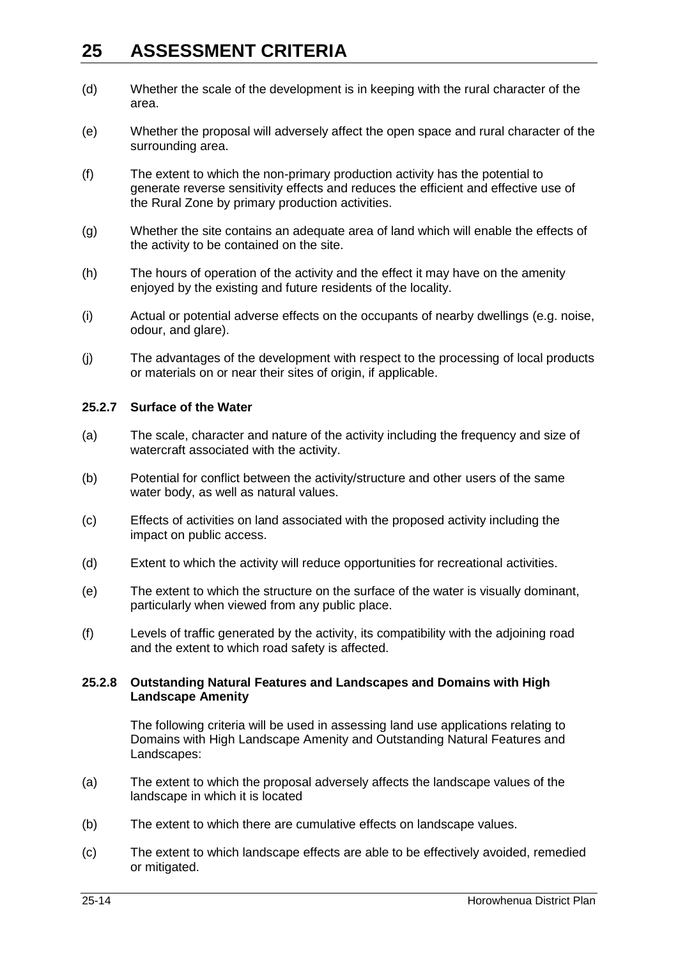- (d) Whether the scale of the development is in keeping with the rural character of the area.
- (e) Whether the proposal will adversely affect the open space and rural character of the surrounding area.
- (f) The extent to which the non-primary production activity has the potential to generate reverse sensitivity effects and reduces the efficient and effective use of the Rural Zone by primary production activities.
- (g) Whether the site contains an adequate area of land which will enable the effects of the activity to be contained on the site.
- (h) The hours of operation of the activity and the effect it may have on the amenity enjoyed by the existing and future residents of the locality.
- (i) Actual or potential adverse effects on the occupants of nearby dwellings (e.g. noise, odour, and glare).
- (j) The advantages of the development with respect to the processing of local products or materials on or near their sites of origin, if applicable.

#### **25.2.7 Surface of the Water**

- (a) The scale, character and nature of the activity including the frequency and size of watercraft associated with the activity.
- (b) Potential for conflict between the activity/structure and other users of the same water body, as well as natural values.
- (c) Effects of activities on land associated with the proposed activity including the impact on public access.
- (d) Extent to which the activity will reduce opportunities for recreational activities.
- (e) The extent to which the structure on the surface of the water is visually dominant, particularly when viewed from any public place.
- (f) Levels of traffic generated by the activity, its compatibility with the adjoining road and the extent to which road safety is affected.

#### **25.2.8 Outstanding Natural Features and Landscapes and Domains with High Landscape Amenity**

The following criteria will be used in assessing land use applications relating to Domains with High Landscape Amenity and Outstanding Natural Features and Landscapes:

- (a) The extent to which the proposal adversely affects the landscape values of the landscape in which it is located
- (b) The extent to which there are cumulative effects on landscape values.
- (c) The extent to which landscape effects are able to be effectively avoided, remedied or mitigated.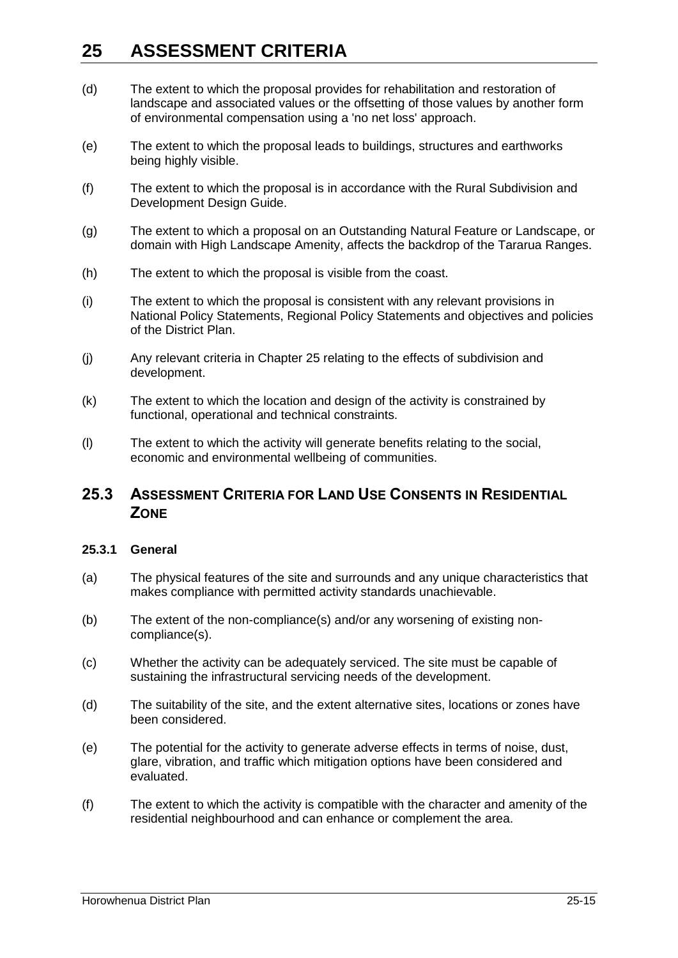- (d) The extent to which the proposal provides for rehabilitation and restoration of landscape and associated values or the offsetting of those values by another form of environmental compensation using a 'no net loss' approach.
- (e) The extent to which the proposal leads to buildings, structures and earthworks being highly visible.
- (f) The extent to which the proposal is in accordance with the Rural Subdivision and Development Design Guide.
- (g) The extent to which a proposal on an Outstanding Natural Feature or Landscape, or domain with High Landscape Amenity, affects the backdrop of the Tararua Ranges.
- (h) The extent to which the proposal is visible from the coast.
- (i) The extent to which the proposal is consistent with any relevant provisions in National Policy Statements, Regional Policy Statements and objectives and policies of the District Plan.
- (j) Any relevant criteria in Chapter 25 relating to the effects of subdivision and development.
- (k) The extent to which the location and design of the activity is constrained by functional, operational and technical constraints.
- (l) The extent to which the activity will generate benefits relating to the social, economic and environmental wellbeing of communities.

## **25.3 ASSESSMENT CRITERIA FOR LAND USE CONSENTS IN RESIDENTIAL ZONE**

### **25.3.1 General**

- (a) The physical features of the site and surrounds and any unique characteristics that makes compliance with permitted activity standards unachievable.
- (b) The extent of the non-compliance(s) and/or any worsening of existing noncompliance(s).
- (c) Whether the activity can be adequately serviced. The site must be capable of sustaining the infrastructural servicing needs of the development.
- (d) The suitability of the site, and the extent alternative sites, locations or zones have been considered.
- (e) The potential for the activity to generate adverse effects in terms of noise, dust, glare, vibration, and traffic which mitigation options have been considered and evaluated.
- (f) The extent to which the activity is compatible with the character and amenity of the residential neighbourhood and can enhance or complement the area.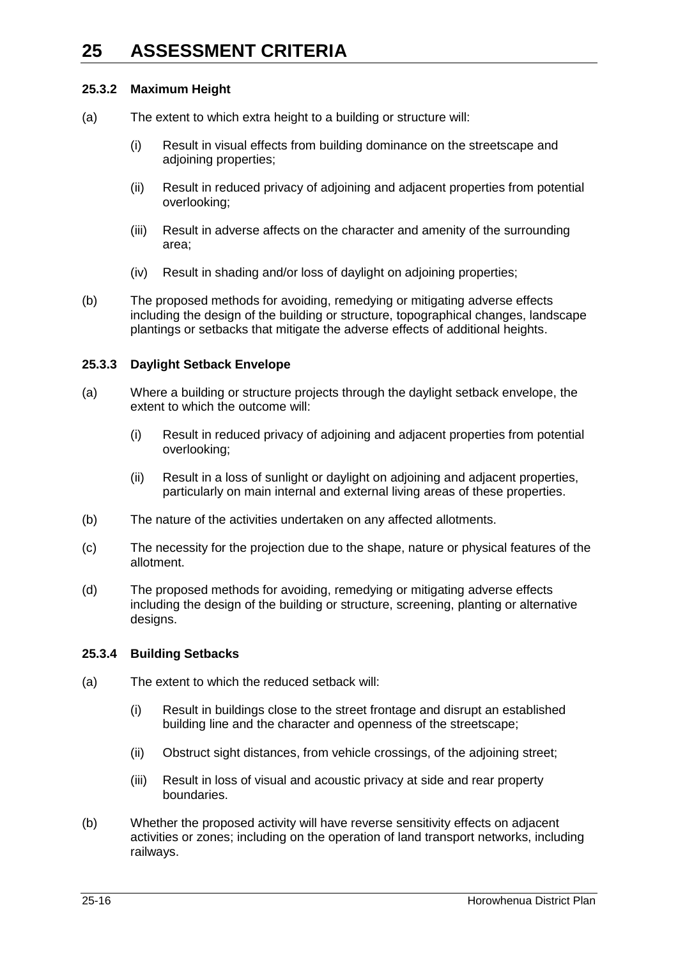### **25.3.2 Maximum Height**

- (a) The extent to which extra height to a building or structure will:
	- (i) Result in visual effects from building dominance on the streetscape and adjoining properties;
	- (ii) Result in reduced privacy of adjoining and adjacent properties from potential overlooking;
	- (iii) Result in adverse affects on the character and amenity of the surrounding area;
	- (iv) Result in shading and/or loss of daylight on adjoining properties;
- (b) The proposed methods for avoiding, remedying or mitigating adverse effects including the design of the building or structure, topographical changes, landscape plantings or setbacks that mitigate the adverse effects of additional heights.

### **25.3.3 Daylight Setback Envelope**

- (a) Where a building or structure projects through the daylight setback envelope, the extent to which the outcome will:
	- (i) Result in reduced privacy of adjoining and adjacent properties from potential overlooking;
	- (ii) Result in a loss of sunlight or daylight on adjoining and adjacent properties, particularly on main internal and external living areas of these properties.
- (b) The nature of the activities undertaken on any affected allotments.
- (c) The necessity for the projection due to the shape, nature or physical features of the allotment.
- (d) The proposed methods for avoiding, remedying or mitigating adverse effects including the design of the building or structure, screening, planting or alternative designs.

### **25.3.4 Building Setbacks**

- (a) The extent to which the reduced setback will:
	- (i) Result in buildings close to the street frontage and disrupt an established building line and the character and openness of the streetscape;
	- (ii) Obstruct sight distances, from vehicle crossings, of the adjoining street;
	- (iii) Result in loss of visual and acoustic privacy at side and rear property boundaries.
- (b) Whether the proposed activity will have reverse sensitivity effects on adjacent activities or zones; including on the operation of land transport networks, including railways.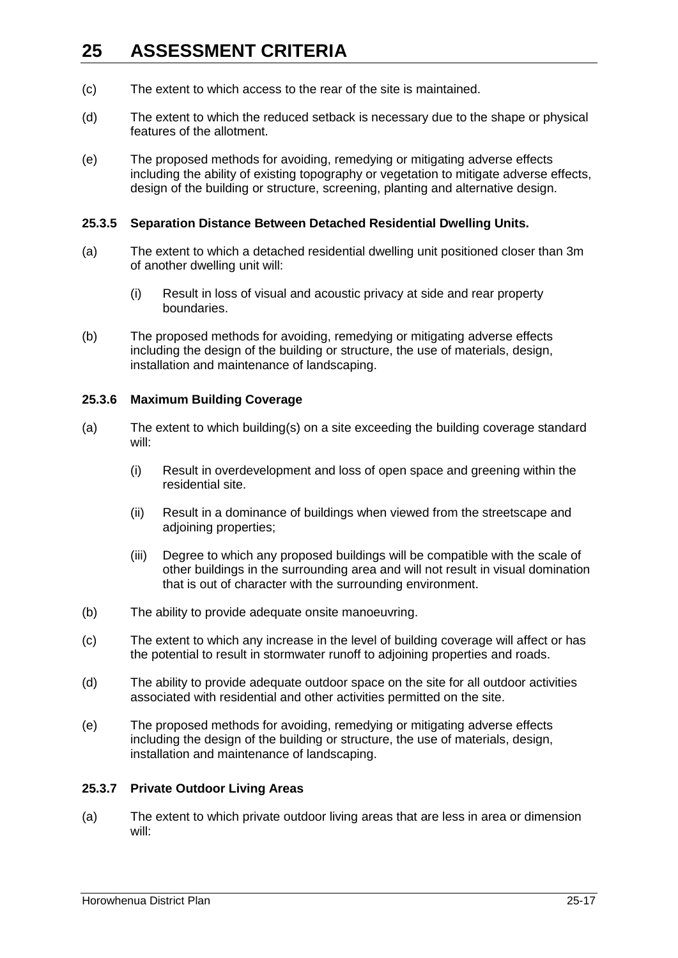- (c) The extent to which access to the rear of the site is maintained.
- (d) The extent to which the reduced setback is necessary due to the shape or physical features of the allotment.
- (e) The proposed methods for avoiding, remedying or mitigating adverse effects including the ability of existing topography or vegetation to mitigate adverse effects, design of the building or structure, screening, planting and alternative design.

#### **25.3.5 Separation Distance Between Detached Residential Dwelling Units.**

- (a) The extent to which a detached residential dwelling unit positioned closer than 3m of another dwelling unit will:
	- (i) Result in loss of visual and acoustic privacy at side and rear property boundaries.
- (b) The proposed methods for avoiding, remedying or mitigating adverse effects including the design of the building or structure, the use of materials, design, installation and maintenance of landscaping.

#### **25.3.6 Maximum Building Coverage**

- (a) The extent to which building(s) on a site exceeding the building coverage standard will:
	- (i) Result in overdevelopment and loss of open space and greening within the residential site.
	- (ii) Result in a dominance of buildings when viewed from the streetscape and adjoining properties;
	- (iii) Degree to which any proposed buildings will be compatible with the scale of other buildings in the surrounding area and will not result in visual domination that is out of character with the surrounding environment.
- (b) The ability to provide adequate onsite manoeuvring.
- (c) The extent to which any increase in the level of building coverage will affect or has the potential to result in stormwater runoff to adjoining properties and roads.
- (d) The ability to provide adequate outdoor space on the site for all outdoor activities associated with residential and other activities permitted on the site.
- (e) The proposed methods for avoiding, remedying or mitigating adverse effects including the design of the building or structure, the use of materials, design, installation and maintenance of landscaping.

### **25.3.7 Private Outdoor Living Areas**

(a) The extent to which private outdoor living areas that are less in area or dimension will: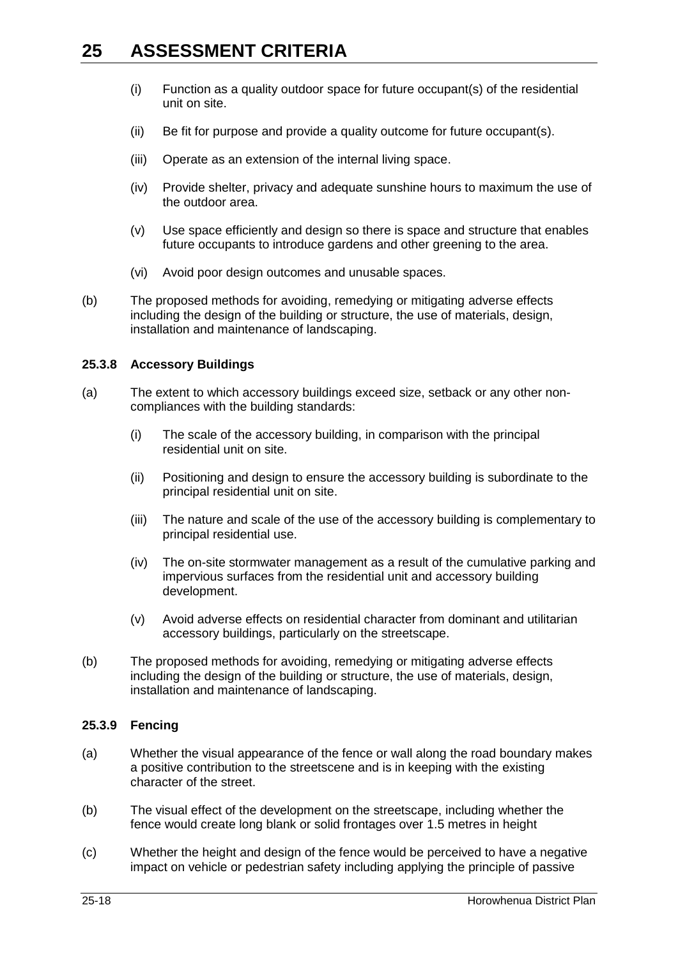- (i) Function as a quality outdoor space for future occupant(s) of the residential unit on site.
- (ii) Be fit for purpose and provide a quality outcome for future occupant(s).
- (iii) Operate as an extension of the internal living space.
- (iv) Provide shelter, privacy and adequate sunshine hours to maximum the use of the outdoor area.
- (v) Use space efficiently and design so there is space and structure that enables future occupants to introduce gardens and other greening to the area.
- (vi) Avoid poor design outcomes and unusable spaces.
- (b) The proposed methods for avoiding, remedying or mitigating adverse effects including the design of the building or structure, the use of materials, design, installation and maintenance of landscaping.

#### **25.3.8 Accessory Buildings**

- (a) The extent to which accessory buildings exceed size, setback or any other noncompliances with the building standards:
	- (i) The scale of the accessory building, in comparison with the principal residential unit on site.
	- (ii) Positioning and design to ensure the accessory building is subordinate to the principal residential unit on site.
	- (iii) The nature and scale of the use of the accessory building is complementary to principal residential use.
	- (iv) The on-site stormwater management as a result of the cumulative parking and impervious surfaces from the residential unit and accessory building development.
	- (v) Avoid adverse effects on residential character from dominant and utilitarian accessory buildings, particularly on the streetscape.
- (b) The proposed methods for avoiding, remedying or mitigating adverse effects including the design of the building or structure, the use of materials, design, installation and maintenance of landscaping.

#### **25.3.9 Fencing**

- (a) Whether the visual appearance of the fence or wall along the road boundary makes a positive contribution to the streetscene and is in keeping with the existing character of the street.
- (b) The visual effect of the development on the streetscape, including whether the fence would create long blank or solid frontages over 1.5 metres in height
- (c) Whether the height and design of the fence would be perceived to have a negative impact on vehicle or pedestrian safety including applying the principle of passive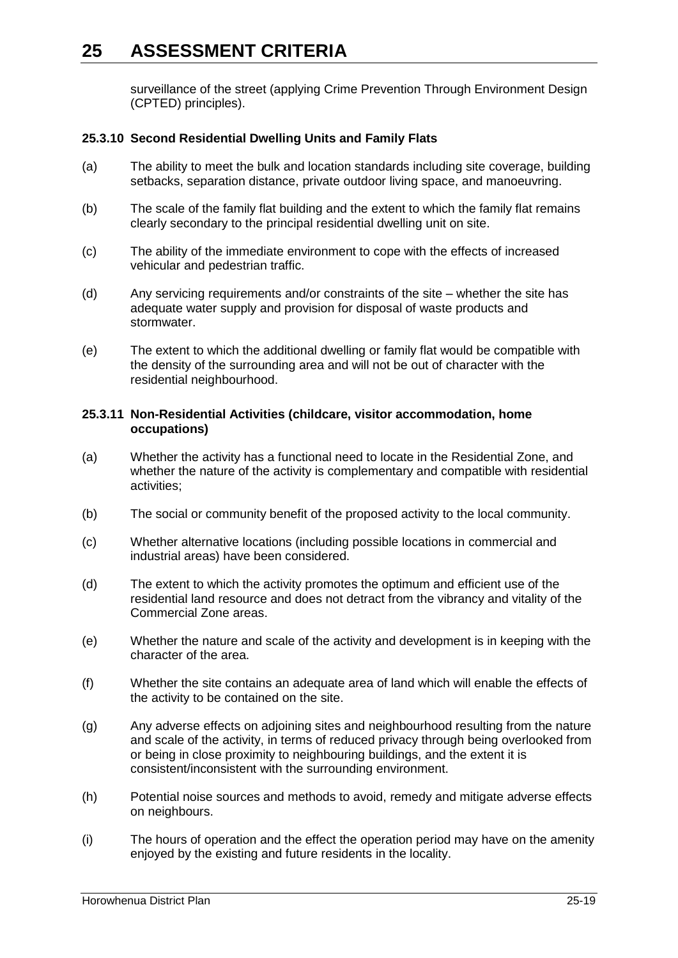surveillance of the street (applying Crime Prevention Through Environment Design (CPTED) principles).

#### **25.3.10 Second Residential Dwelling Units and Family Flats**

- (a) The ability to meet the bulk and location standards including site coverage, building setbacks, separation distance, private outdoor living space, and manoeuvring.
- (b) The scale of the family flat building and the extent to which the family flat remains clearly secondary to the principal residential dwelling unit on site.
- (c) The ability of the immediate environment to cope with the effects of increased vehicular and pedestrian traffic.
- (d) Any servicing requirements and/or constraints of the site whether the site has adequate water supply and provision for disposal of waste products and stormwater.
- (e) The extent to which the additional dwelling or family flat would be compatible with the density of the surrounding area and will not be out of character with the residential neighbourhood.

#### **25.3.11 Non-Residential Activities (childcare, visitor accommodation, home occupations)**

- (a) Whether the activity has a functional need to locate in the Residential Zone, and whether the nature of the activity is complementary and compatible with residential activities;
- (b) The social or community benefit of the proposed activity to the local community.
- (c) Whether alternative locations (including possible locations in commercial and industrial areas) have been considered.
- (d) The extent to which the activity promotes the optimum and efficient use of the residential land resource and does not detract from the vibrancy and vitality of the Commercial Zone areas.
- (e) Whether the nature and scale of the activity and development is in keeping with the character of the area.
- (f) Whether the site contains an adequate area of land which will enable the effects of the activity to be contained on the site.
- (g) Any adverse effects on adjoining sites and neighbourhood resulting from the nature and scale of the activity, in terms of reduced privacy through being overlooked from or being in close proximity to neighbouring buildings, and the extent it is consistent/inconsistent with the surrounding environment.
- (h) Potential noise sources and methods to avoid, remedy and mitigate adverse effects on neighbours.
- (i) The hours of operation and the effect the operation period may have on the amenity enjoyed by the existing and future residents in the locality.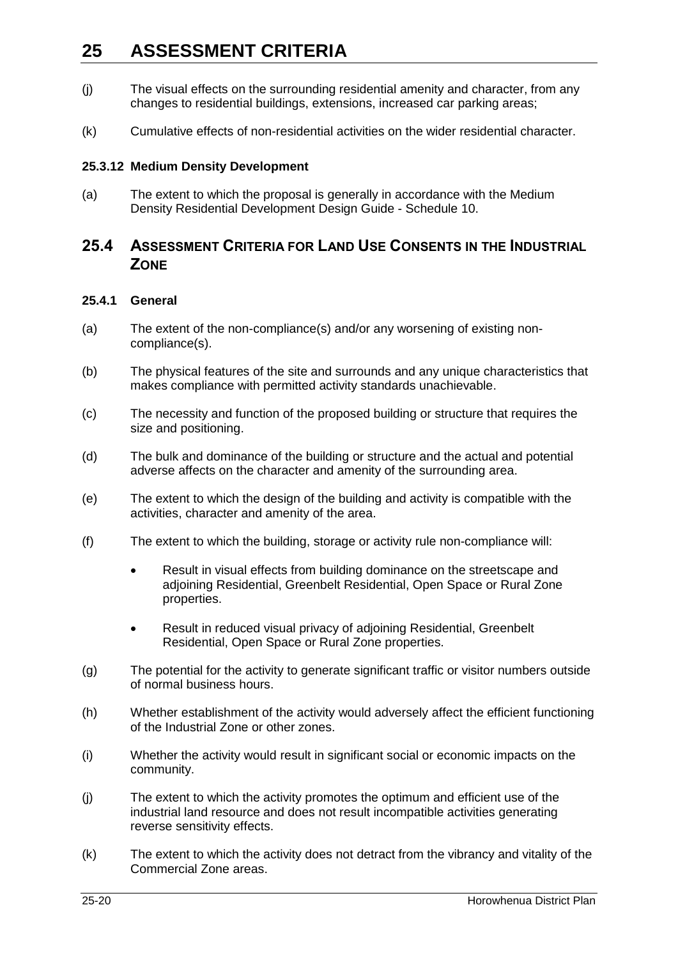- (j) The visual effects on the surrounding residential amenity and character, from any changes to residential buildings, extensions, increased car parking areas;
- (k) Cumulative effects of non-residential activities on the wider residential character.

#### **25.3.12 Medium Density Development**

(a) The extent to which the proposal is generally in accordance with the Medium Density Residential Development Design Guide - Schedule 10.

### **25.4 ASSESSMENT CRITERIA FOR LAND USE CONSENTS IN THE INDUSTRIAL ZONE**

#### **25.4.1 General**

- (a) The extent of the non-compliance(s) and/or any worsening of existing noncompliance(s).
- (b) The physical features of the site and surrounds and any unique characteristics that makes compliance with permitted activity standards unachievable.
- (c) The necessity and function of the proposed building or structure that requires the size and positioning.
- (d) The bulk and dominance of the building or structure and the actual and potential adverse affects on the character and amenity of the surrounding area.
- (e) The extent to which the design of the building and activity is compatible with the activities, character and amenity of the area.
- (f) The extent to which the building, storage or activity rule non-compliance will:
	- Result in visual effects from building dominance on the streetscape and adjoining Residential, Greenbelt Residential, Open Space or Rural Zone properties.
	- Result in reduced visual privacy of adjoining Residential, Greenbelt Residential, Open Space or Rural Zone properties.
- (g) The potential for the activity to generate significant traffic or visitor numbers outside of normal business hours.
- (h) Whether establishment of the activity would adversely affect the efficient functioning of the Industrial Zone or other zones.
- (i) Whether the activity would result in significant social or economic impacts on the community.
- (j) The extent to which the activity promotes the optimum and efficient use of the industrial land resource and does not result incompatible activities generating reverse sensitivity effects.
- (k) The extent to which the activity does not detract from the vibrancy and vitality of the Commercial Zone areas.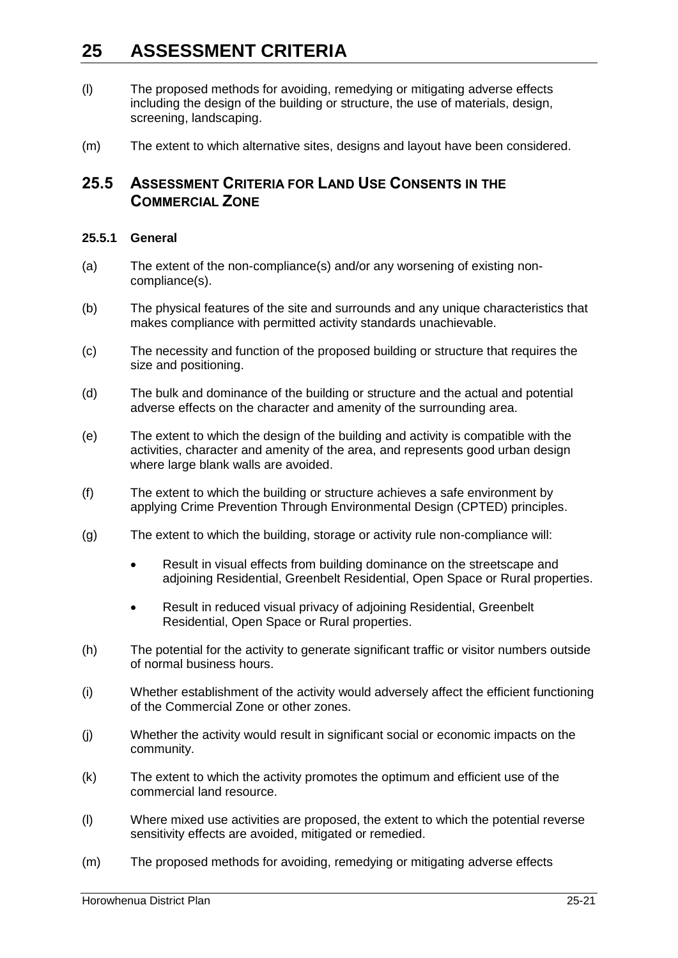- (l) The proposed methods for avoiding, remedying or mitigating adverse effects including the design of the building or structure, the use of materials, design, screening, landscaping.
- (m) The extent to which alternative sites, designs and layout have been considered.

### **25.5 ASSESSMENT CRITERIA FOR LAND USE CONSENTS IN THE COMMERCIAL ZONE**

#### **25.5.1 General**

- (a) The extent of the non-compliance(s) and/or any worsening of existing noncompliance(s).
- (b) The physical features of the site and surrounds and any unique characteristics that makes compliance with permitted activity standards unachievable.
- (c) The necessity and function of the proposed building or structure that requires the size and positioning.
- (d) The bulk and dominance of the building or structure and the actual and potential adverse effects on the character and amenity of the surrounding area.
- (e) The extent to which the design of the building and activity is compatible with the activities, character and amenity of the area, and represents good urban design where large blank walls are avoided.
- (f) The extent to which the building or structure achieves a safe environment by applying Crime Prevention Through Environmental Design (CPTED) principles.
- (g) The extent to which the building, storage or activity rule non-compliance will:
	- Result in visual effects from building dominance on the streetscape and adjoining Residential, Greenbelt Residential, Open Space or Rural properties.
	- Result in reduced visual privacy of adjoining Residential, Greenbelt Residential, Open Space or Rural properties.
- (h) The potential for the activity to generate significant traffic or visitor numbers outside of normal business hours.
- (i) Whether establishment of the activity would adversely affect the efficient functioning of the Commercial Zone or other zones.
- (j) Whether the activity would result in significant social or economic impacts on the community.
- (k) The extent to which the activity promotes the optimum and efficient use of the commercial land resource.
- (l) Where mixed use activities are proposed, the extent to which the potential reverse sensitivity effects are avoided, mitigated or remedied.
- (m) The proposed methods for avoiding, remedying or mitigating adverse effects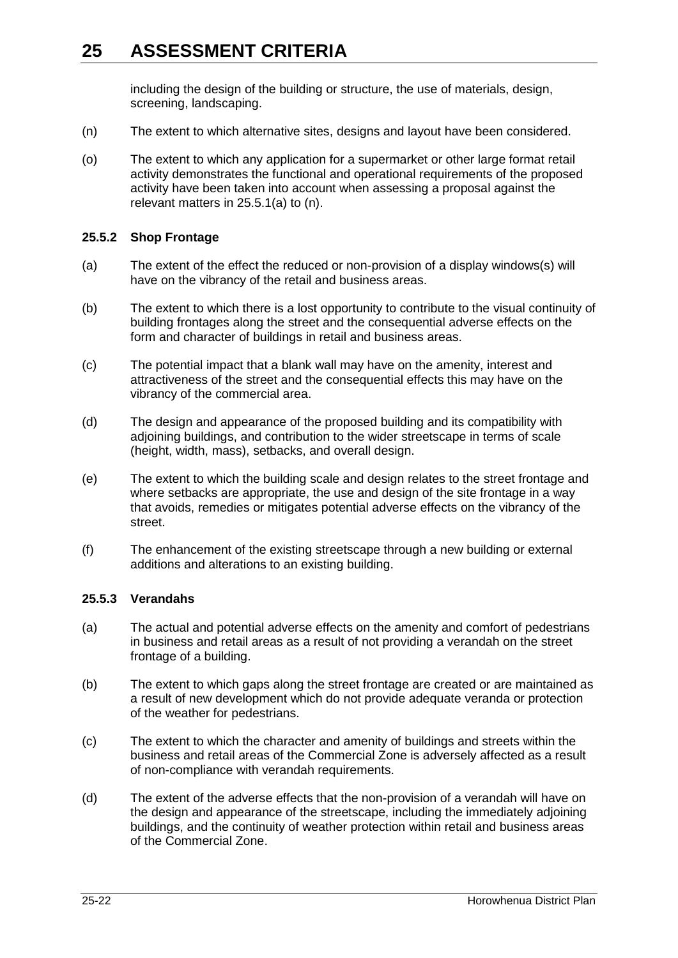including the design of the building or structure, the use of materials, design, screening, landscaping.

- (n) The extent to which alternative sites, designs and layout have been considered.
- (o) The extent to which any application for a supermarket or other large format retail activity demonstrates the functional and operational requirements of the proposed activity have been taken into account when assessing a proposal against the relevant matters in 25.5.1(a) to (n).

#### **25.5.2 Shop Frontage**

- (a) The extent of the effect the reduced or non-provision of a display windows(s) will have on the vibrancy of the retail and business areas.
- (b) The extent to which there is a lost opportunity to contribute to the visual continuity of building frontages along the street and the consequential adverse effects on the form and character of buildings in retail and business areas.
- (c) The potential impact that a blank wall may have on the amenity, interest and attractiveness of the street and the consequential effects this may have on the vibrancy of the commercial area.
- (d) The design and appearance of the proposed building and its compatibility with adjoining buildings, and contribution to the wider streetscape in terms of scale (height, width, mass), setbacks, and overall design.
- (e) The extent to which the building scale and design relates to the street frontage and where setbacks are appropriate, the use and design of the site frontage in a way that avoids, remedies or mitigates potential adverse effects on the vibrancy of the street.
- (f) The enhancement of the existing streetscape through a new building or external additions and alterations to an existing building.

### **25.5.3 Verandahs**

- (a) The actual and potential adverse effects on the amenity and comfort of pedestrians in business and retail areas as a result of not providing a verandah on the street frontage of a building.
- (b) The extent to which gaps along the street frontage are created or are maintained as a result of new development which do not provide adequate veranda or protection of the weather for pedestrians.
- (c) The extent to which the character and amenity of buildings and streets within the business and retail areas of the Commercial Zone is adversely affected as a result of non-compliance with verandah requirements.
- (d) The extent of the adverse effects that the non-provision of a verandah will have on the design and appearance of the streetscape, including the immediately adjoining buildings, and the continuity of weather protection within retail and business areas of the Commercial Zone.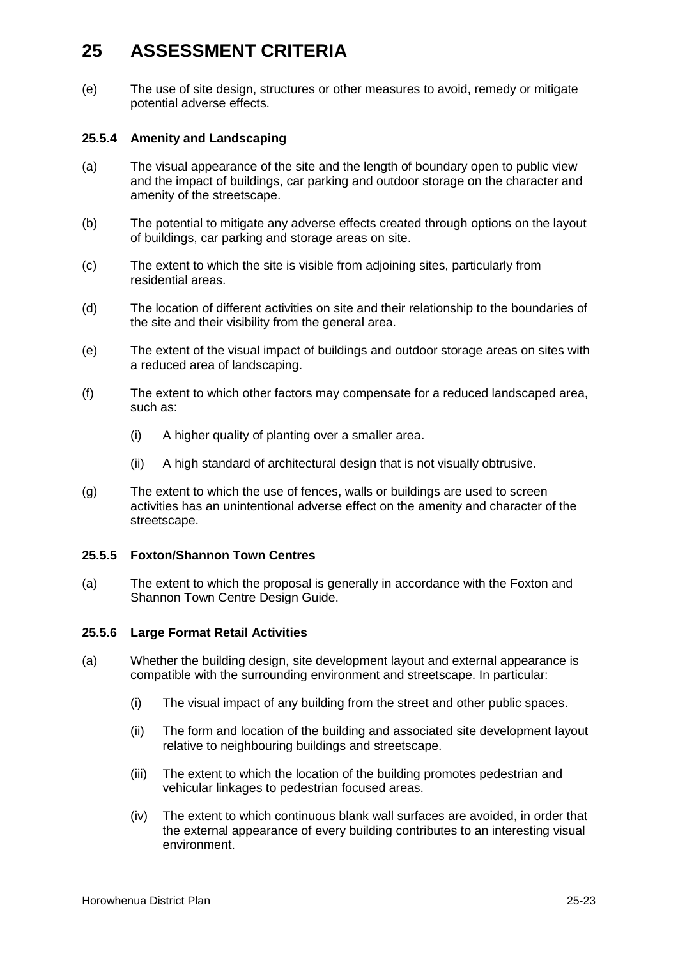(e) The use of site design, structures or other measures to avoid, remedy or mitigate potential adverse effects.

### **25.5.4 Amenity and Landscaping**

- (a) The visual appearance of the site and the length of boundary open to public view and the impact of buildings, car parking and outdoor storage on the character and amenity of the streetscape.
- (b) The potential to mitigate any adverse effects created through options on the layout of buildings, car parking and storage areas on site.
- (c) The extent to which the site is visible from adjoining sites, particularly from residential areas.
- (d) The location of different activities on site and their relationship to the boundaries of the site and their visibility from the general area.
- (e) The extent of the visual impact of buildings and outdoor storage areas on sites with a reduced area of landscaping.
- (f) The extent to which other factors may compensate for a reduced landscaped area, such as:
	- (i) A higher quality of planting over a smaller area.
	- (ii) A high standard of architectural design that is not visually obtrusive.
- (g) The extent to which the use of fences, walls or buildings are used to screen activities has an unintentional adverse effect on the amenity and character of the streetscape.

### **25.5.5 Foxton/Shannon Town Centres**

(a) The extent to which the proposal is generally in accordance with the Foxton and Shannon Town Centre Design Guide.

### **25.5.6 Large Format Retail Activities**

- (a) Whether the building design, site development layout and external appearance is compatible with the surrounding environment and streetscape. In particular:
	- (i) The visual impact of any building from the street and other public spaces.
	- (ii) The form and location of the building and associated site development layout relative to neighbouring buildings and streetscape.
	- (iii) The extent to which the location of the building promotes pedestrian and vehicular linkages to pedestrian focused areas.
	- (iv) The extent to which continuous blank wall surfaces are avoided, in order that the external appearance of every building contributes to an interesting visual environment.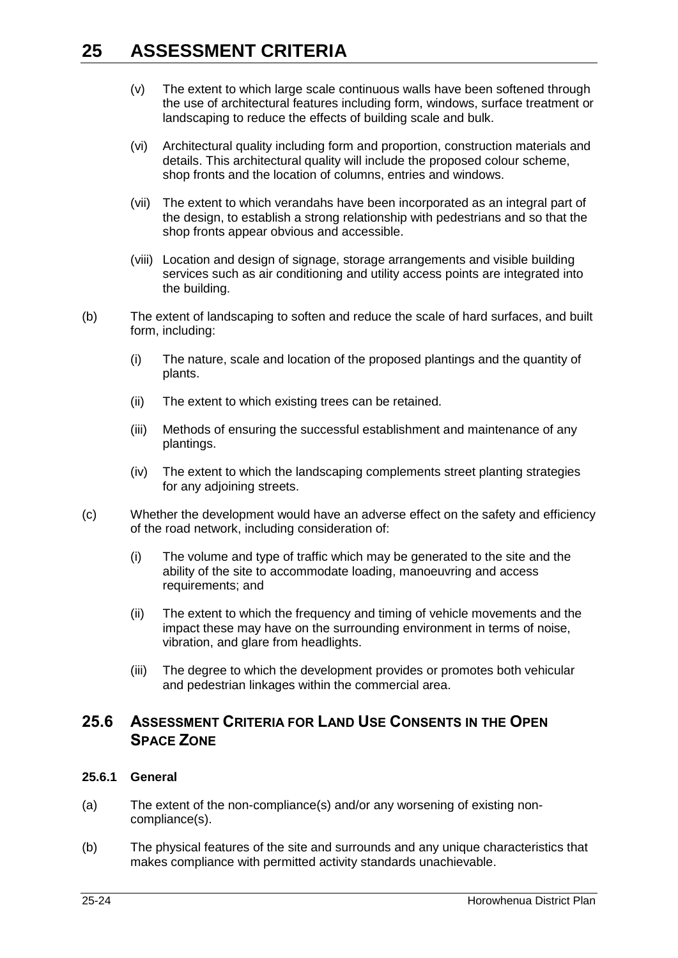- (v) The extent to which large scale continuous walls have been softened through the use of architectural features including form, windows, surface treatment or landscaping to reduce the effects of building scale and bulk.
- (vi) Architectural quality including form and proportion, construction materials and details. This architectural quality will include the proposed colour scheme, shop fronts and the location of columns, entries and windows.
- (vii) The extent to which verandahs have been incorporated as an integral part of the design, to establish a strong relationship with pedestrians and so that the shop fronts appear obvious and accessible.
- (viii) Location and design of signage, storage arrangements and visible building services such as air conditioning and utility access points are integrated into the building.
- (b) The extent of landscaping to soften and reduce the scale of hard surfaces, and built form, including:
	- (i) The nature, scale and location of the proposed plantings and the quantity of plants.
	- (ii) The extent to which existing trees can be retained.
	- (iii) Methods of ensuring the successful establishment and maintenance of any plantings.
	- (iv) The extent to which the landscaping complements street planting strategies for any adjoining streets.
- (c) Whether the development would have an adverse effect on the safety and efficiency of the road network, including consideration of:
	- (i) The volume and type of traffic which may be generated to the site and the ability of the site to accommodate loading, manoeuvring and access requirements; and
	- (ii) The extent to which the frequency and timing of vehicle movements and the impact these may have on the surrounding environment in terms of noise, vibration, and glare from headlights.
	- (iii) The degree to which the development provides or promotes both vehicular and pedestrian linkages within the commercial area.

## **25.6 ASSESSMENT CRITERIA FOR LAND USE CONSENTS IN THE OPEN SPACE ZONE**

### **25.6.1 General**

- (a) The extent of the non-compliance(s) and/or any worsening of existing noncompliance(s).
- (b) The physical features of the site and surrounds and any unique characteristics that makes compliance with permitted activity standards unachievable.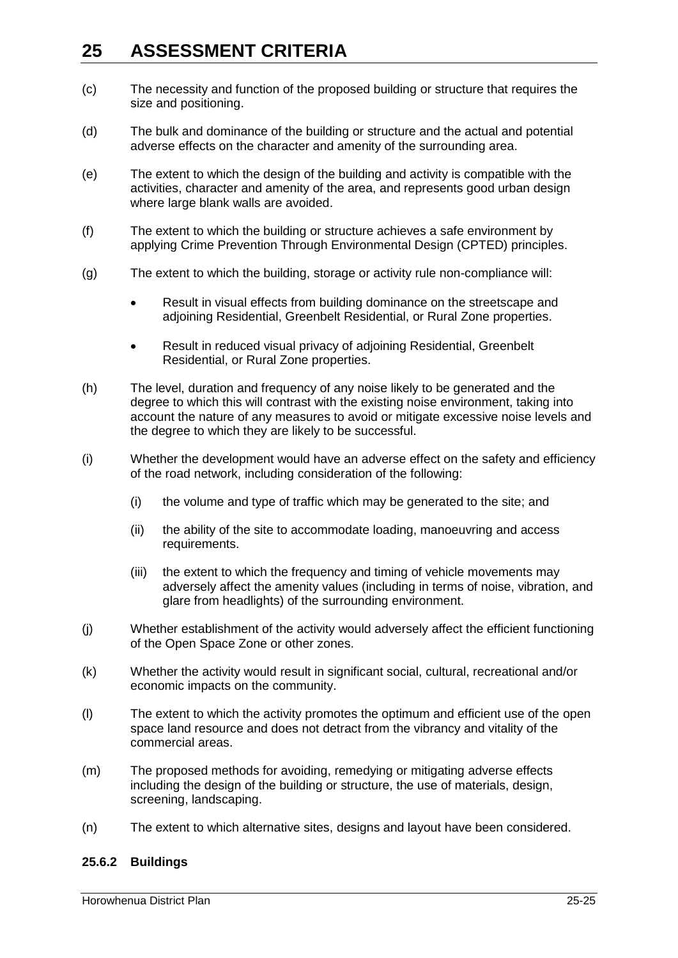- (c) The necessity and function of the proposed building or structure that requires the size and positioning.
- (d) The bulk and dominance of the building or structure and the actual and potential adverse effects on the character and amenity of the surrounding area.
- (e) The extent to which the design of the building and activity is compatible with the activities, character and amenity of the area, and represents good urban design where large blank walls are avoided.
- (f) The extent to which the building or structure achieves a safe environment by applying Crime Prevention Through Environmental Design (CPTED) principles.
- (g) The extent to which the building, storage or activity rule non-compliance will:
	- Result in visual effects from building dominance on the streetscape and adjoining Residential, Greenbelt Residential, or Rural Zone properties.
	- Result in reduced visual privacy of adjoining Residential, Greenbelt Residential, or Rural Zone properties.
- (h) The level, duration and frequency of any noise likely to be generated and the degree to which this will contrast with the existing noise environment, taking into account the nature of any measures to avoid or mitigate excessive noise levels and the degree to which they are likely to be successful.
- (i) Whether the development would have an adverse effect on the safety and efficiency of the road network, including consideration of the following:
	- (i) the volume and type of traffic which may be generated to the site; and
	- (ii) the ability of the site to accommodate loading, manoeuvring and access requirements.
	- (iii) the extent to which the frequency and timing of vehicle movements may adversely affect the amenity values (including in terms of noise, vibration, and glare from headlights) of the surrounding environment.
- (j) Whether establishment of the activity would adversely affect the efficient functioning of the Open Space Zone or other zones.
- (k) Whether the activity would result in significant social, cultural, recreational and/or economic impacts on the community.
- (l) The extent to which the activity promotes the optimum and efficient use of the open space land resource and does not detract from the vibrancy and vitality of the commercial areas.
- (m) The proposed methods for avoiding, remedying or mitigating adverse effects including the design of the building or structure, the use of materials, design, screening, landscaping.
- (n) The extent to which alternative sites, designs and layout have been considered.

### **25.6.2 Buildings**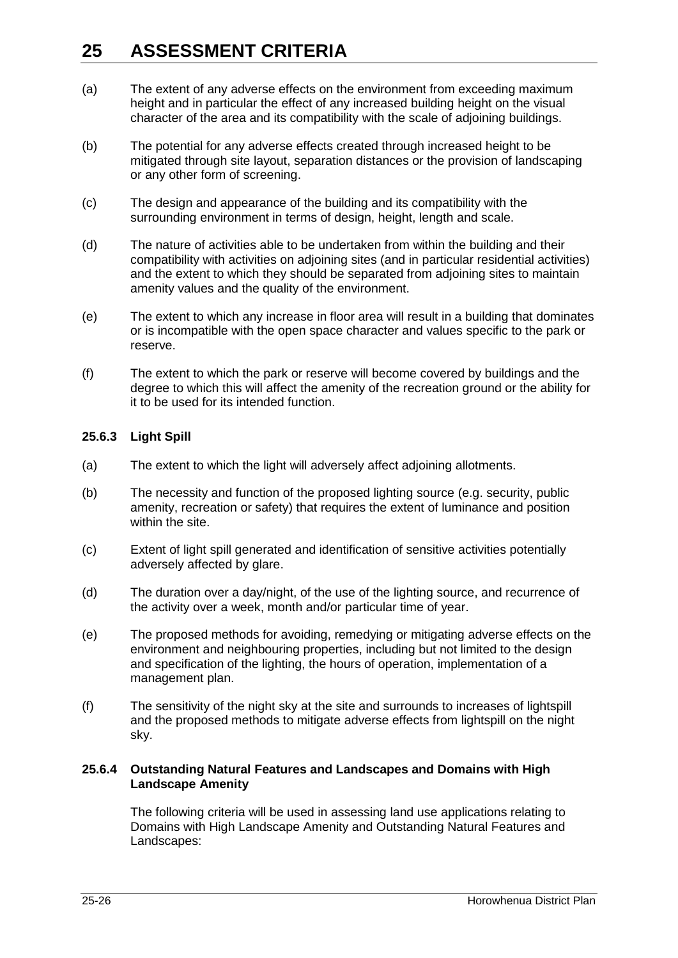- (a) The extent of any adverse effects on the environment from exceeding maximum height and in particular the effect of any increased building height on the visual character of the area and its compatibility with the scale of adjoining buildings.
- (b) The potential for any adverse effects created through increased height to be mitigated through site layout, separation distances or the provision of landscaping or any other form of screening.
- (c) The design and appearance of the building and its compatibility with the surrounding environment in terms of design, height, length and scale.
- (d) The nature of activities able to be undertaken from within the building and their compatibility with activities on adjoining sites (and in particular residential activities) and the extent to which they should be separated from adjoining sites to maintain amenity values and the quality of the environment.
- (e) The extent to which any increase in floor area will result in a building that dominates or is incompatible with the open space character and values specific to the park or reserve.
- (f) The extent to which the park or reserve will become covered by buildings and the degree to which this will affect the amenity of the recreation ground or the ability for it to be used for its intended function.

### **25.6.3 Light Spill**

- (a) The extent to which the light will adversely affect adjoining allotments.
- (b) The necessity and function of the proposed lighting source (e.g. security, public amenity, recreation or safety) that requires the extent of luminance and position within the site.
- (c) Extent of light spill generated and identification of sensitive activities potentially adversely affected by glare.
- (d) The duration over a day/night, of the use of the lighting source, and recurrence of the activity over a week, month and/or particular time of year.
- (e) The proposed methods for avoiding, remedying or mitigating adverse effects on the environment and neighbouring properties, including but not limited to the design and specification of the lighting, the hours of operation, implementation of a management plan.
- (f) The sensitivity of the night sky at the site and surrounds to increases of lightspill and the proposed methods to mitigate adverse effects from lightspill on the night sky.

### **25.6.4 Outstanding Natural Features and Landscapes and Domains with High Landscape Amenity**

The following criteria will be used in assessing land use applications relating to Domains with High Landscape Amenity and Outstanding Natural Features and Landscapes: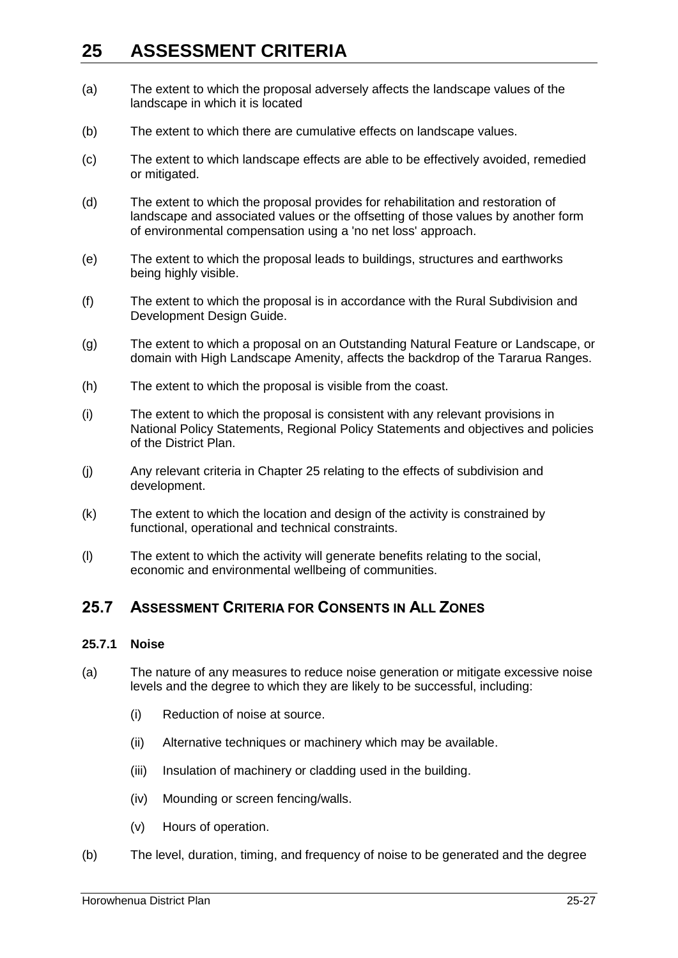- (a) The extent to which the proposal adversely affects the landscape values of the landscape in which it is located
- (b) The extent to which there are cumulative effects on landscape values.
- (c) The extent to which landscape effects are able to be effectively avoided, remedied or mitigated.
- (d) The extent to which the proposal provides for rehabilitation and restoration of landscape and associated values or the offsetting of those values by another form of environmental compensation using a 'no net loss' approach.
- (e) The extent to which the proposal leads to buildings, structures and earthworks being highly visible.
- (f) The extent to which the proposal is in accordance with the Rural Subdivision and Development Design Guide.
- (g) The extent to which a proposal on an Outstanding Natural Feature or Landscape, or domain with High Landscape Amenity, affects the backdrop of the Tararua Ranges.
- (h) The extent to which the proposal is visible from the coast.
- (i) The extent to which the proposal is consistent with any relevant provisions in National Policy Statements, Regional Policy Statements and objectives and policies of the District Plan.
- (j) Any relevant criteria in Chapter 25 relating to the effects of subdivision and development.
- (k) The extent to which the location and design of the activity is constrained by functional, operational and technical constraints.
- (l) The extent to which the activity will generate benefits relating to the social, economic and environmental wellbeing of communities.

## **25.7 ASSESSMENT CRITERIA FOR CONSENTS IN ALL ZONES**

#### **25.7.1 Noise**

- (a) The nature of any measures to reduce noise generation or mitigate excessive noise levels and the degree to which they are likely to be successful, including:
	- (i) Reduction of noise at source.
	- (ii) Alternative techniques or machinery which may be available.
	- (iii) Insulation of machinery or cladding used in the building.
	- (iv) Mounding or screen fencing/walls.
	- (v) Hours of operation.
- (b) The level, duration, timing, and frequency of noise to be generated and the degree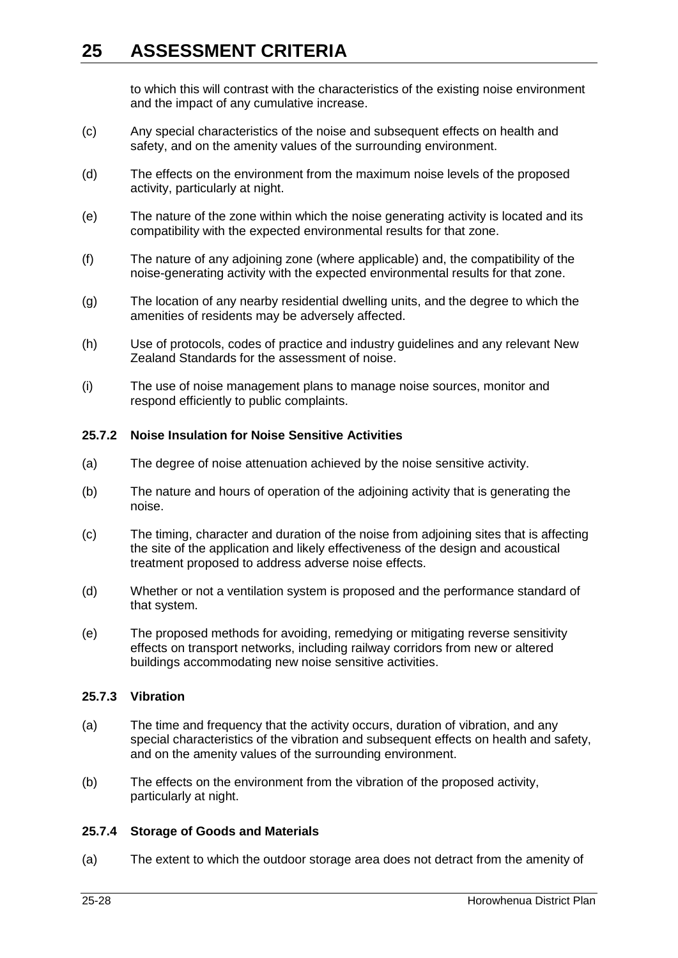to which this will contrast with the characteristics of the existing noise environment and the impact of any cumulative increase.

- (c) Any special characteristics of the noise and subsequent effects on health and safety, and on the amenity values of the surrounding environment.
- (d) The effects on the environment from the maximum noise levels of the proposed activity, particularly at night.
- (e) The nature of the zone within which the noise generating activity is located and its compatibility with the expected environmental results for that zone.
- (f) The nature of any adjoining zone (where applicable) and, the compatibility of the noise-generating activity with the expected environmental results for that zone.
- (g) The location of any nearby residential dwelling units, and the degree to which the amenities of residents may be adversely affected.
- (h) Use of protocols, codes of practice and industry guidelines and any relevant New Zealand Standards for the assessment of noise.
- (i) The use of noise management plans to manage noise sources, monitor and respond efficiently to public complaints.

#### **25.7.2 Noise Insulation for Noise Sensitive Activities**

- (a) The degree of noise attenuation achieved by the noise sensitive activity.
- (b) The nature and hours of operation of the adjoining activity that is generating the noise.
- (c) The timing, character and duration of the noise from adjoining sites that is affecting the site of the application and likely effectiveness of the design and acoustical treatment proposed to address adverse noise effects.
- (d) Whether or not a ventilation system is proposed and the performance standard of that system.
- (e) The proposed methods for avoiding, remedying or mitigating reverse sensitivity effects on transport networks, including railway corridors from new or altered buildings accommodating new noise sensitive activities.

#### **25.7.3 Vibration**

- (a) The time and frequency that the activity occurs, duration of vibration, and any special characteristics of the vibration and subsequent effects on health and safety, and on the amenity values of the surrounding environment.
- (b) The effects on the environment from the vibration of the proposed activity, particularly at night.

### **25.7.4 Storage of Goods and Materials**

(a) The extent to which the outdoor storage area does not detract from the amenity of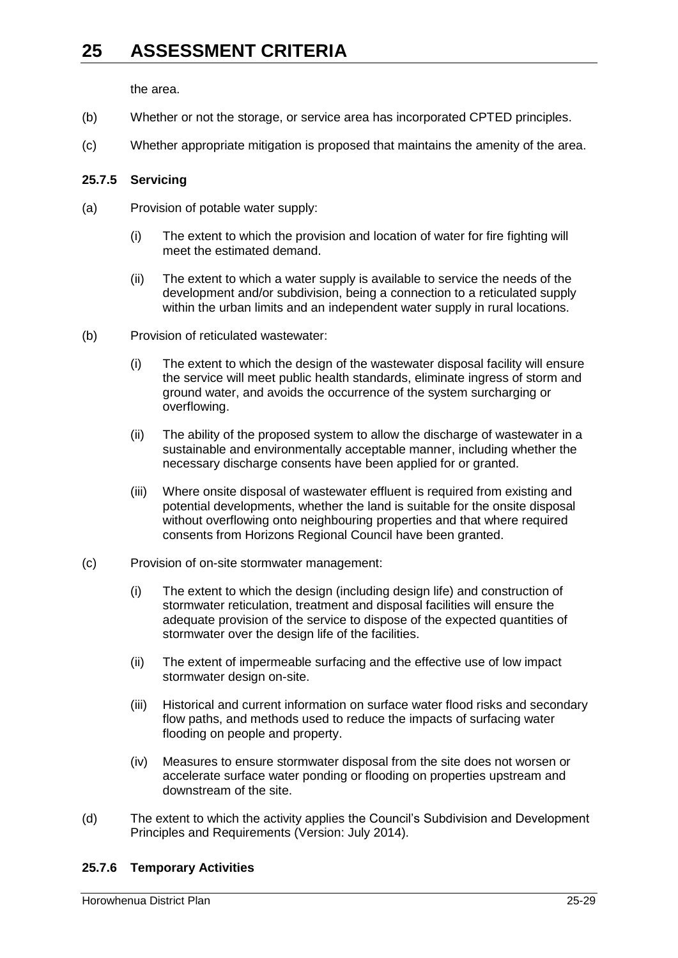the area.

- (b) Whether or not the storage, or service area has incorporated CPTED principles.
- (c) Whether appropriate mitigation is proposed that maintains the amenity of the area.

### **25.7.5 Servicing**

- (a) Provision of potable water supply:
	- (i) The extent to which the provision and location of water for fire fighting will meet the estimated demand.
	- (ii) The extent to which a water supply is available to service the needs of the development and/or subdivision, being a connection to a reticulated supply within the urban limits and an independent water supply in rural locations.
- (b) Provision of reticulated wastewater:
	- (i) The extent to which the design of the wastewater disposal facility will ensure the service will meet public health standards, eliminate ingress of storm and ground water, and avoids the occurrence of the system surcharging or overflowing.
	- (ii) The ability of the proposed system to allow the discharge of wastewater in a sustainable and environmentally acceptable manner, including whether the necessary discharge consents have been applied for or granted.
	- (iii) Where onsite disposal of wastewater effluent is required from existing and potential developments, whether the land is suitable for the onsite disposal without overflowing onto neighbouring properties and that where required consents from Horizons Regional Council have been granted.
- (c) Provision of on-site stormwater management:
	- (i) The extent to which the design (including design life) and construction of stormwater reticulation, treatment and disposal facilities will ensure the adequate provision of the service to dispose of the expected quantities of stormwater over the design life of the facilities.
	- (ii) The extent of impermeable surfacing and the effective use of low impact stormwater design on-site.
	- (iii) Historical and current information on surface water flood risks and secondary flow paths, and methods used to reduce the impacts of surfacing water flooding on people and property.
	- (iv) Measures to ensure stormwater disposal from the site does not worsen or accelerate surface water ponding or flooding on properties upstream and downstream of the site.
- (d) The extent to which the activity applies the Council's Subdivision and Development Principles and Requirements (Version: July 2014).

### **25.7.6 Temporary Activities**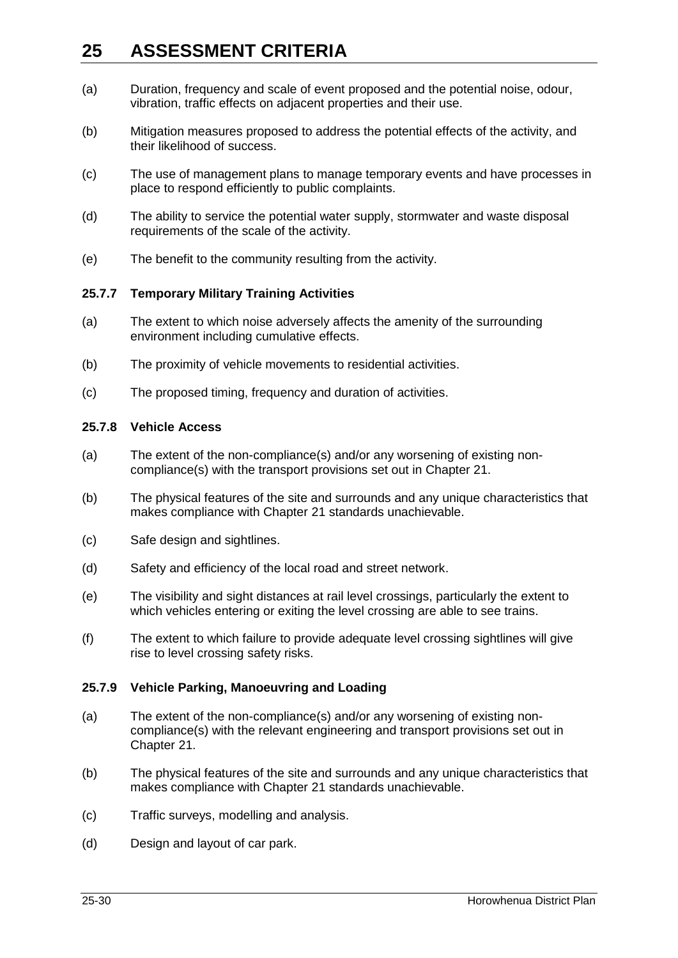- (a) Duration, frequency and scale of event proposed and the potential noise, odour, vibration, traffic effects on adjacent properties and their use.
- (b) Mitigation measures proposed to address the potential effects of the activity, and their likelihood of success.
- (c) The use of management plans to manage temporary events and have processes in place to respond efficiently to public complaints.
- (d) The ability to service the potential water supply, stormwater and waste disposal requirements of the scale of the activity.
- (e) The benefit to the community resulting from the activity.

### **25.7.7 Temporary Military Training Activities**

- (a) The extent to which noise adversely affects the amenity of the surrounding environment including cumulative effects.
- (b) The proximity of vehicle movements to residential activities.
- (c) The proposed timing, frequency and duration of activities.

### **25.7.8 Vehicle Access**

- (a) The extent of the non-compliance(s) and/or any worsening of existing noncompliance(s) with the transport provisions set out in Chapter 21.
- (b) The physical features of the site and surrounds and any unique characteristics that makes compliance with Chapter 21 standards unachievable.
- (c) Safe design and sightlines.
- (d) Safety and efficiency of the local road and street network.
- (e) The visibility and sight distances at rail level crossings, particularly the extent to which vehicles entering or exiting the level crossing are able to see trains.
- (f) The extent to which failure to provide adequate level crossing sightlines will give rise to level crossing safety risks.

### **25.7.9 Vehicle Parking, Manoeuvring and Loading**

- (a) The extent of the non-compliance(s) and/or any worsening of existing noncompliance(s) with the relevant engineering and transport provisions set out in Chapter 21.
- (b) The physical features of the site and surrounds and any unique characteristics that makes compliance with Chapter 21 standards unachievable.
- (c) Traffic surveys, modelling and analysis.
- (d) Design and layout of car park.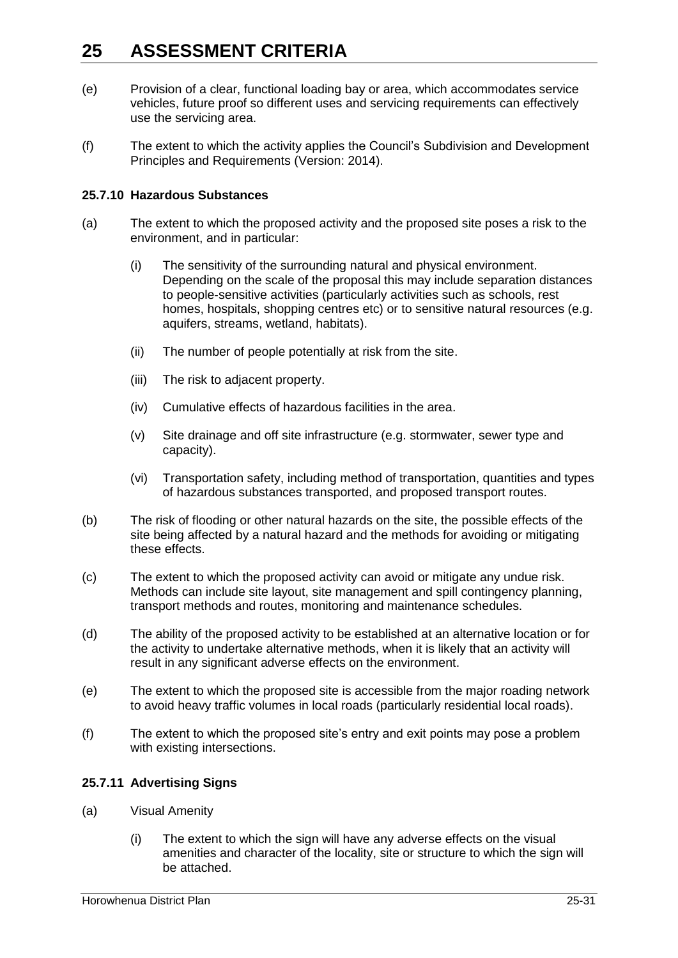- (e) Provision of a clear, functional loading bay or area, which accommodates service vehicles, future proof so different uses and servicing requirements can effectively use the servicing area.
- (f) The extent to which the activity applies the Council's Subdivision and Development Principles and Requirements (Version: 2014).

### **25.7.10 Hazardous Substances**

- (a) The extent to which the proposed activity and the proposed site poses a risk to the environment, and in particular:
	- (i) The sensitivity of the surrounding natural and physical environment. Depending on the scale of the proposal this may include separation distances to people-sensitive activities (particularly activities such as schools, rest homes, hospitals, shopping centres etc) or to sensitive natural resources (e.g. aquifers, streams, wetland, habitats).
	- (ii) The number of people potentially at risk from the site.
	- (iii) The risk to adjacent property.
	- (iv) Cumulative effects of hazardous facilities in the area.
	- (v) Site drainage and off site infrastructure (e.g. stormwater, sewer type and capacity).
	- (vi) Transportation safety, including method of transportation, quantities and types of hazardous substances transported, and proposed transport routes.
- (b) The risk of flooding or other natural hazards on the site, the possible effects of the site being affected by a natural hazard and the methods for avoiding or mitigating these effects.
- (c) The extent to which the proposed activity can avoid or mitigate any undue risk. Methods can include site layout, site management and spill contingency planning, transport methods and routes, monitoring and maintenance schedules.
- (d) The ability of the proposed activity to be established at an alternative location or for the activity to undertake alternative methods, when it is likely that an activity will result in any significant adverse effects on the environment.
- (e) The extent to which the proposed site is accessible from the major roading network to avoid heavy traffic volumes in local roads (particularly residential local roads).
- (f) The extent to which the proposed site's entry and exit points may pose a problem with existing intersections.

### **25.7.11 Advertising Signs**

- (a) Visual Amenity
	- (i) The extent to which the sign will have any adverse effects on the visual amenities and character of the locality, site or structure to which the sign will be attached.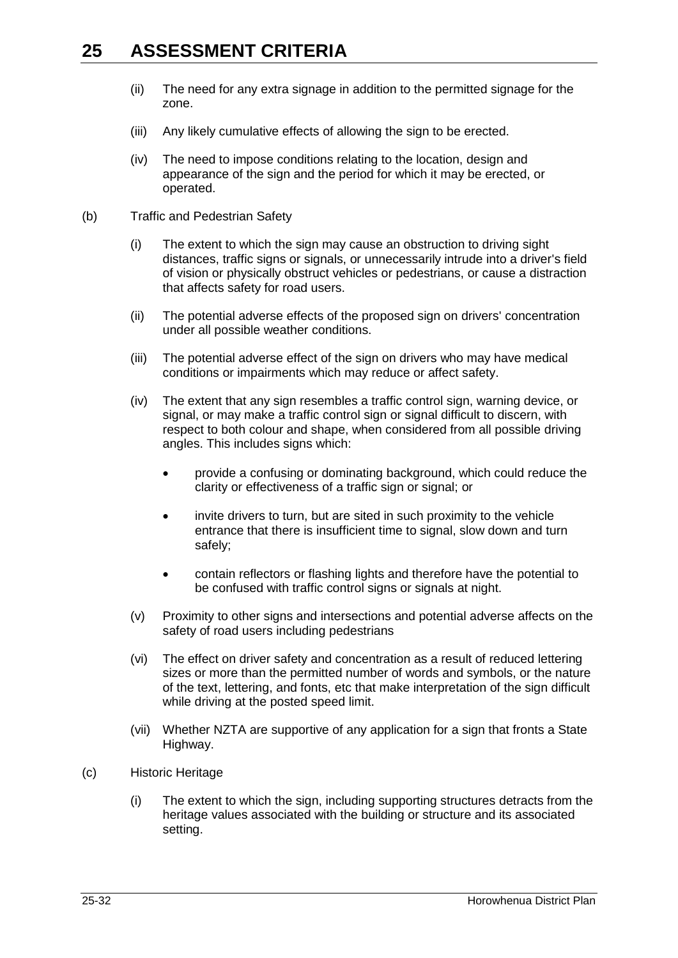- (ii) The need for any extra signage in addition to the permitted signage for the zone.
- (iii) Any likely cumulative effects of allowing the sign to be erected.
- (iv) The need to impose conditions relating to the location, design and appearance of the sign and the period for which it may be erected, or operated.
- (b) Traffic and Pedestrian Safety
	- (i) The extent to which the sign may cause an obstruction to driving sight distances, traffic signs or signals, or unnecessarily intrude into a driver's field of vision or physically obstruct vehicles or pedestrians, or cause a distraction that affects safety for road users.
	- (ii) The potential adverse effects of the proposed sign on drivers' concentration under all possible weather conditions.
	- (iii) The potential adverse effect of the sign on drivers who may have medical conditions or impairments which may reduce or affect safety.
	- (iv) The extent that any sign resembles a traffic control sign, warning device, or signal, or may make a traffic control sign or signal difficult to discern, with respect to both colour and shape, when considered from all possible driving angles. This includes signs which:
		- provide a confusing or dominating background, which could reduce the clarity or effectiveness of a traffic sign or signal; or
		- invite drivers to turn, but are sited in such proximity to the vehicle entrance that there is insufficient time to signal, slow down and turn safely;
		- contain reflectors or flashing lights and therefore have the potential to be confused with traffic control signs or signals at night.
	- (v) Proximity to other signs and intersections and potential adverse affects on the safety of road users including pedestrians
	- (vi) The effect on driver safety and concentration as a result of reduced lettering sizes or more than the permitted number of words and symbols, or the nature of the text, lettering, and fonts, etc that make interpretation of the sign difficult while driving at the posted speed limit.
	- (vii) Whether NZTA are supportive of any application for a sign that fronts a State Highway.
- (c) Historic Heritage
	- (i) The extent to which the sign, including supporting structures detracts from the heritage values associated with the building or structure and its associated setting.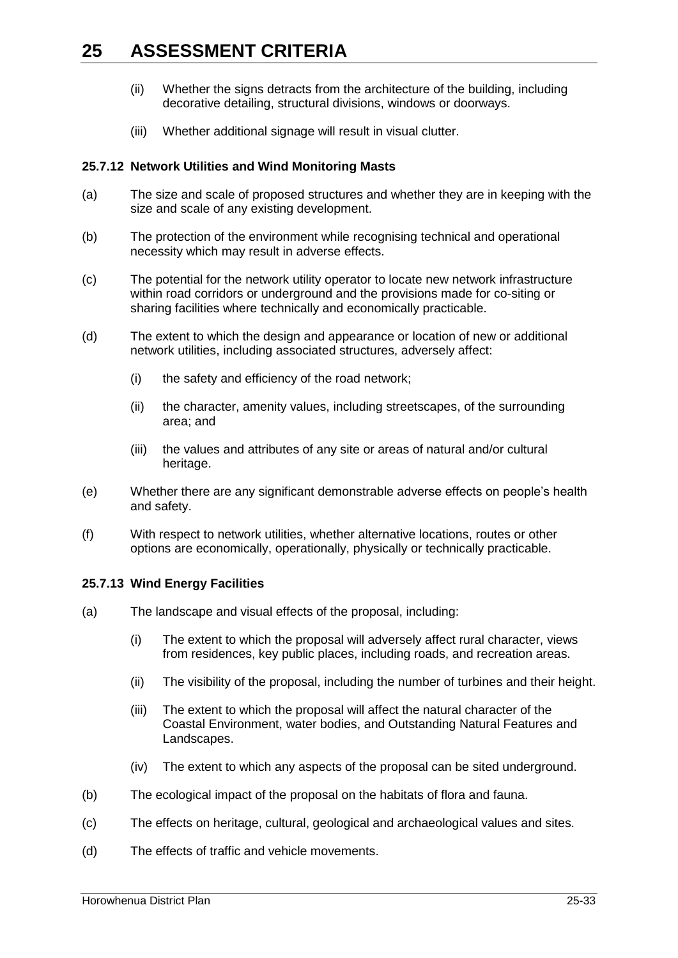- (ii) Whether the signs detracts from the architecture of the building, including decorative detailing, structural divisions, windows or doorways.
- (iii) Whether additional signage will result in visual clutter.

### **25.7.12 Network Utilities and Wind Monitoring Masts**

- (a) The size and scale of proposed structures and whether they are in keeping with the size and scale of any existing development.
- (b) The protection of the environment while recognising technical and operational necessity which may result in adverse effects.
- (c) The potential for the network utility operator to locate new network infrastructure within road corridors or underground and the provisions made for co-siting or sharing facilities where technically and economically practicable.
- (d) The extent to which the design and appearance or location of new or additional network utilities, including associated structures, adversely affect:
	- (i) the safety and efficiency of the road network;
	- (ii) the character, amenity values, including streetscapes, of the surrounding area; and
	- (iii) the values and attributes of any site or areas of natural and/or cultural heritage.
- (e) Whether there are any significant demonstrable adverse effects on people's health and safety.
- (f) With respect to network utilities, whether alternative locations, routes or other options are economically, operationally, physically or technically practicable.

### **25.7.13 Wind Energy Facilities**

- (a) The landscape and visual effects of the proposal, including:
	- (i) The extent to which the proposal will adversely affect rural character, views from residences, key public places, including roads, and recreation areas.
	- (ii) The visibility of the proposal, including the number of turbines and their height.
	- (iii) The extent to which the proposal will affect the natural character of the Coastal Environment, water bodies, and Outstanding Natural Features and Landscapes.
	- (iv) The extent to which any aspects of the proposal can be sited underground.
- (b) The ecological impact of the proposal on the habitats of flora and fauna.
- (c) The effects on heritage, cultural, geological and archaeological values and sites.
- (d) The effects of traffic and vehicle movements.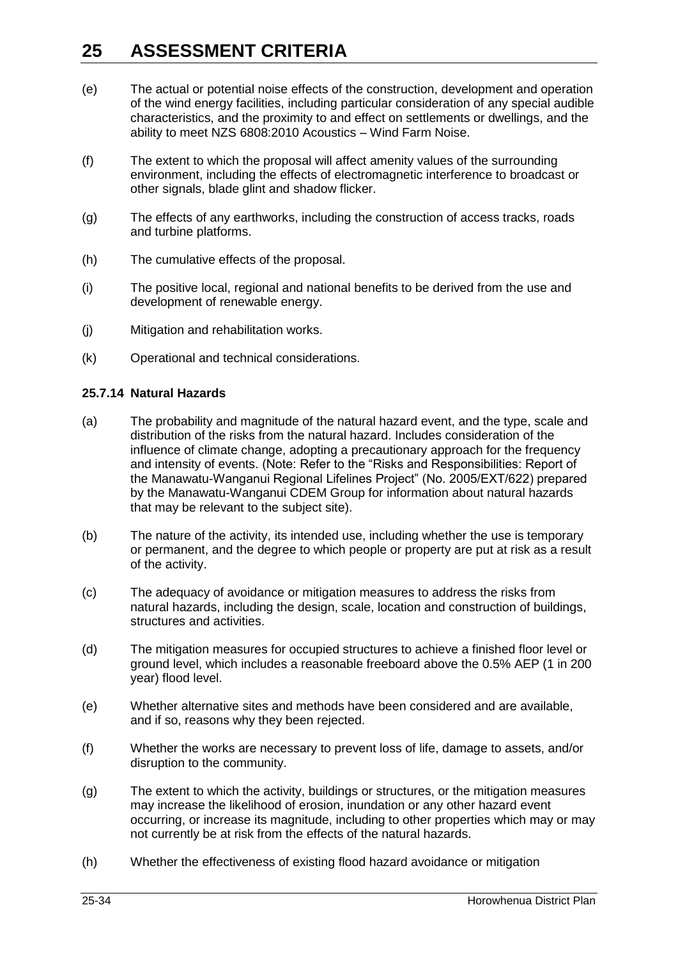- (e) The actual or potential noise effects of the construction, development and operation of the wind energy facilities, including particular consideration of any special audible characteristics, and the proximity to and effect on settlements or dwellings, and the ability to meet NZS 6808:2010 Acoustics – Wind Farm Noise.
- (f) The extent to which the proposal will affect amenity values of the surrounding environment, including the effects of electromagnetic interference to broadcast or other signals, blade glint and shadow flicker.
- (g) The effects of any earthworks, including the construction of access tracks, roads and turbine platforms.
- (h) The cumulative effects of the proposal.
- (i) The positive local, regional and national benefits to be derived from the use and development of renewable energy.
- (j) Mitigation and rehabilitation works.
- (k) Operational and technical considerations.

#### **25.7.14 Natural Hazards**

- (a) The probability and magnitude of the natural hazard event, and the type, scale and distribution of the risks from the natural hazard. Includes consideration of the influence of climate change, adopting a precautionary approach for the frequency and intensity of events. (Note: Refer to the "Risks and Responsibilities: Report of the Manawatu-Wanganui Regional Lifelines Project" (No. 2005/EXT/622) prepared by the Manawatu-Wanganui CDEM Group for information about natural hazards that may be relevant to the subject site).
- (b) The nature of the activity, its intended use, including whether the use is temporary or permanent, and the degree to which people or property are put at risk as a result of the activity.
- (c) The adequacy of avoidance or mitigation measures to address the risks from natural hazards, including the design, scale, location and construction of buildings, structures and activities.
- (d) The mitigation measures for occupied structures to achieve a finished floor level or ground level, which includes a reasonable freeboard above the 0.5% AEP (1 in 200 year) flood level.
- (e) Whether alternative sites and methods have been considered and are available, and if so, reasons why they been rejected.
- (f) Whether the works are necessary to prevent loss of life, damage to assets, and/or disruption to the community.
- (g) The extent to which the activity, buildings or structures, or the mitigation measures may increase the likelihood of erosion, inundation or any other hazard event occurring, or increase its magnitude, including to other properties which may or may not currently be at risk from the effects of the natural hazards.
- (h) Whether the effectiveness of existing flood hazard avoidance or mitigation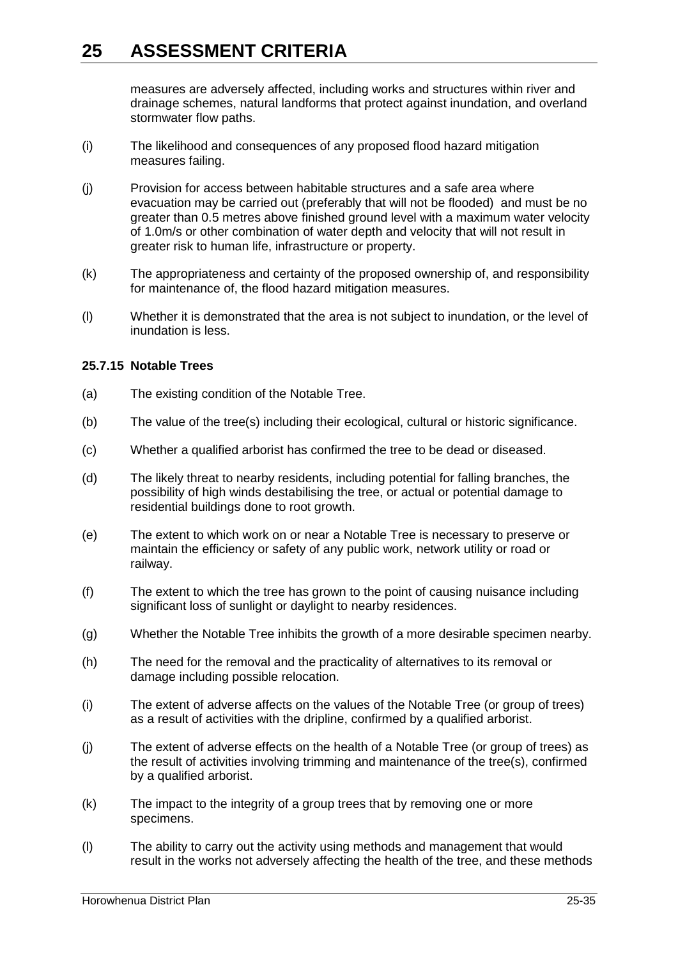measures are adversely affected, including works and structures within river and drainage schemes, natural landforms that protect against inundation, and overland stormwater flow paths.

- (i) The likelihood and consequences of any proposed flood hazard mitigation measures failing.
- (j) Provision for access between habitable structures and a safe area where evacuation may be carried out (preferably that will not be flooded) and must be no greater than 0.5 metres above finished ground level with a maximum water velocity of 1.0m/s or other combination of water depth and velocity that will not result in greater risk to human life, infrastructure or property.
- (k) The appropriateness and certainty of the proposed ownership of, and responsibility for maintenance of, the flood hazard mitigation measures.
- (l) Whether it is demonstrated that the area is not subject to inundation, or the level of inundation is less.

### **25.7.15 Notable Trees**

- (a) The existing condition of the Notable Tree.
- (b) The value of the tree(s) including their ecological, cultural or historic significance.
- (c) Whether a qualified arborist has confirmed the tree to be dead or diseased.
- (d) The likely threat to nearby residents, including potential for falling branches, the possibility of high winds destabilising the tree, or actual or potential damage to residential buildings done to root growth.
- (e) The extent to which work on or near a Notable Tree is necessary to preserve or maintain the efficiency or safety of any public work, network utility or road or railway.
- (f) The extent to which the tree has grown to the point of causing nuisance including significant loss of sunlight or daylight to nearby residences.
- (g) Whether the Notable Tree inhibits the growth of a more desirable specimen nearby.
- (h) The need for the removal and the practicality of alternatives to its removal or damage including possible relocation.
- (i) The extent of adverse affects on the values of the Notable Tree (or group of trees) as a result of activities with the dripline, confirmed by a qualified arborist.
- (j) The extent of adverse effects on the health of a Notable Tree (or group of trees) as the result of activities involving trimming and maintenance of the tree(s), confirmed by a qualified arborist.
- (k) The impact to the integrity of a group trees that by removing one or more specimens.
- (l) The ability to carry out the activity using methods and management that would result in the works not adversely affecting the health of the tree, and these methods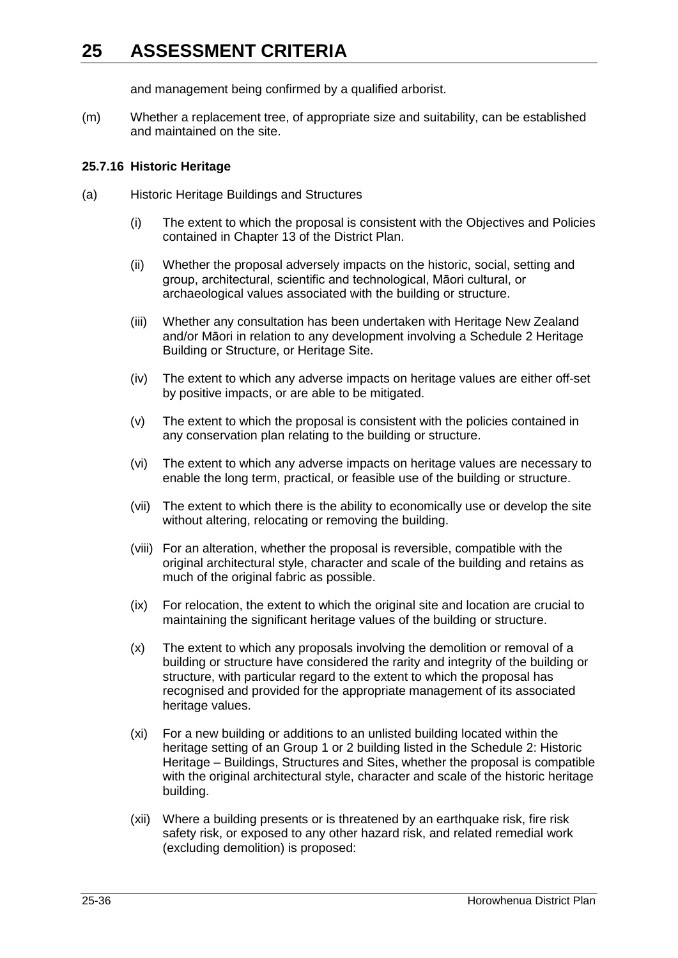and management being confirmed by a qualified arborist.

(m) Whether a replacement tree, of appropriate size and suitability, can be established and maintained on the site.

### **25.7.16 Historic Heritage**

- (a) Historic Heritage Buildings and Structures
	- (i) The extent to which the proposal is consistent with the Objectives and Policies contained in Chapter 13 of the District Plan.
	- (ii) Whether the proposal adversely impacts on the historic, social, setting and group, architectural, scientific and technological, Māori cultural, or archaeological values associated with the building or structure.
	- (iii) Whether any consultation has been undertaken with Heritage New Zealand and/or Māori in relation to any development involving a Schedule 2 Heritage Building or Structure, or Heritage Site.
	- (iv) The extent to which any adverse impacts on heritage values are either off-set by positive impacts, or are able to be mitigated.
	- (v) The extent to which the proposal is consistent with the policies contained in any conservation plan relating to the building or structure.
	- (vi) The extent to which any adverse impacts on heritage values are necessary to enable the long term, practical, or feasible use of the building or structure.
	- (vii) The extent to which there is the ability to economically use or develop the site without altering, relocating or removing the building.
	- (viii) For an alteration, whether the proposal is reversible, compatible with the original architectural style, character and scale of the building and retains as much of the original fabric as possible.
	- (ix) For relocation, the extent to which the original site and location are crucial to maintaining the significant heritage values of the building or structure.
	- (x) The extent to which any proposals involving the demolition or removal of a building or structure have considered the rarity and integrity of the building or structure, with particular regard to the extent to which the proposal has recognised and provided for the appropriate management of its associated heritage values.
	- (xi) For a new building or additions to an unlisted building located within the heritage setting of an Group 1 or 2 building listed in the Schedule 2: Historic Heritage – Buildings, Structures and Sites, whether the proposal is compatible with the original architectural style, character and scale of the historic heritage building.
	- (xii) Where a building presents or is threatened by an earthquake risk, fire risk safety risk, or exposed to any other hazard risk, and related remedial work (excluding demolition) is proposed: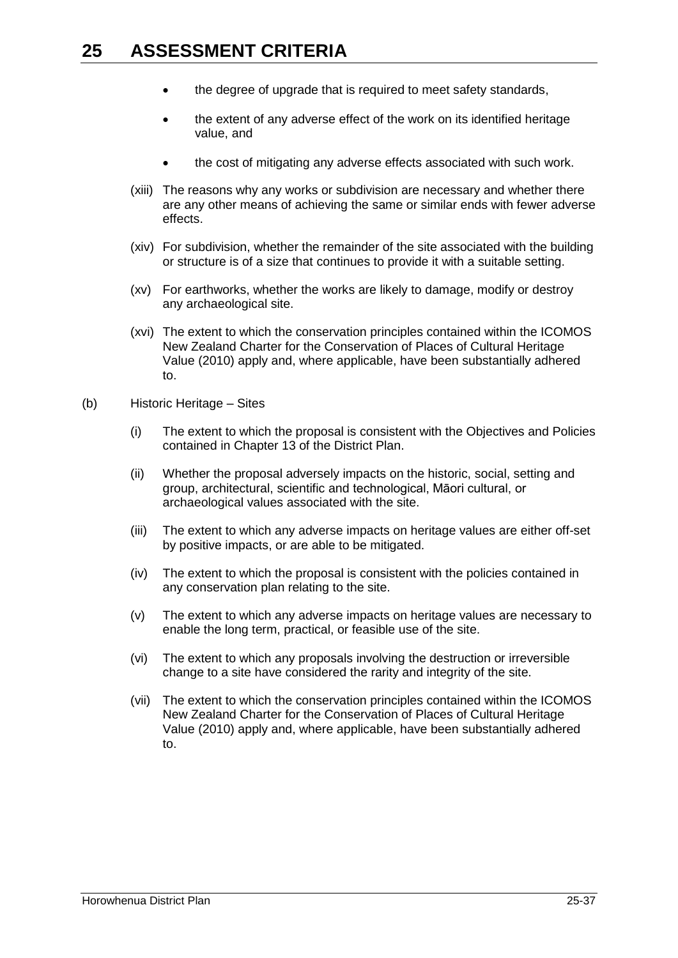- the degree of upgrade that is required to meet safety standards,
- the extent of any adverse effect of the work on its identified heritage value, and
- the cost of mitigating any adverse effects associated with such work.
- (xiii) The reasons why any works or subdivision are necessary and whether there are any other means of achieving the same or similar ends with fewer adverse effects.
- (xiv) For subdivision, whether the remainder of the site associated with the building or structure is of a size that continues to provide it with a suitable setting.
- (xv) For earthworks, whether the works are likely to damage, modify or destroy any archaeological site.
- (xvi) The extent to which the conservation principles contained within the ICOMOS New Zealand Charter for the Conservation of Places of Cultural Heritage Value (2010) apply and, where applicable, have been substantially adhered to.
- (b) Historic Heritage Sites
	- (i) The extent to which the proposal is consistent with the Objectives and Policies contained in Chapter 13 of the District Plan.
	- (ii) Whether the proposal adversely impacts on the historic, social, setting and group, architectural, scientific and technological, Māori cultural, or archaeological values associated with the site.
	- (iii) The extent to which any adverse impacts on heritage values are either off-set by positive impacts, or are able to be mitigated.
	- (iv) The extent to which the proposal is consistent with the policies contained in any conservation plan relating to the site.
	- (v) The extent to which any adverse impacts on heritage values are necessary to enable the long term, practical, or feasible use of the site.
	- (vi) The extent to which any proposals involving the destruction or irreversible change to a site have considered the rarity and integrity of the site.
	- (vii) The extent to which the conservation principles contained within the ICOMOS New Zealand Charter for the Conservation of Places of Cultural Heritage Value (2010) apply and, where applicable, have been substantially adhered to.